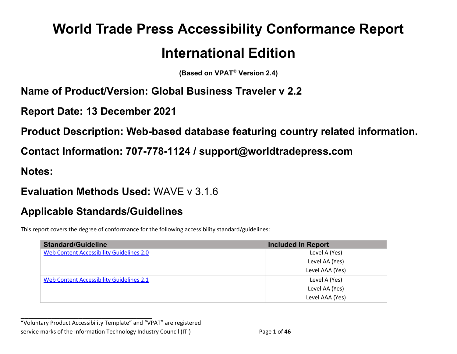# **World Trade Press Accessibility Conformance Report International Edition**

**(Based on VPAT**® **Version 2.4)**

#### **Name of Product/Version: Global Business Traveler v 2.2**

**Report Date: 13 December 2021**

**Product Description: Web-based database featuring country related information.**

**Contact Information: 707-778-1124 / support@worldtradepress.com**

**Notes:**

#### **Evaluation Methods Used:** WAVE v 3.1.6

## **Applicable Standards/Guidelines**

This report covers the degree of conformance for the following accessibility standard/guidelines:

| <b>Standard/Guideline</b>                       | <b>Included In Report</b> |
|-------------------------------------------------|---------------------------|
| <b>Web Content Accessibility Guidelines 2.0</b> | Level A (Yes)             |
|                                                 | Level AA (Yes)            |
|                                                 | Level AAA (Yes)           |
| Web Content Accessibility Guidelines 2.1        | Level A (Yes)             |
|                                                 | Level AA (Yes)            |
|                                                 | Level AAA (Yes)           |

**\_\_\_\_\_\_\_\_\_\_\_\_\_\_\_\_\_\_\_\_\_\_\_\_\_\_\_\_\_\_\_\_\_\_** "Voluntary Product Accessibility Template" and "VPAT" are registered service marks of the Information Technology Industry Council (ITI) Page **1** of **46**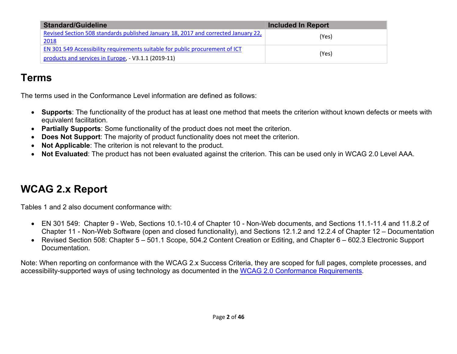| <b>Standard/Guideline</b>                                                                                                           | <b>Included In Report</b> |
|-------------------------------------------------------------------------------------------------------------------------------------|---------------------------|
| Revised Section 508 standards published January 18, 2017 and corrected January 22,<br>2018                                          | (Yes)                     |
| EN 301 549 Accessibility requirements suitable for public procurement of ICT<br>products and services in Europe, - V3.1.1 (2019-11) | (Yes)                     |

## **Terms**

The terms used in the Conformance Level information are defined as follows:

- **Supports**: The functionality of the product has at least one method that meets the criterion without known defects or meets with equivalent facilitation.
- **Partially Supports**: Some functionality of the product does not meet the criterion.
- **Does Not Support**: The majority of product functionality does not meet the criterion.
- **Not Applicable**: The criterion is not relevant to the product.
- **Not Evaluated**: The product has not been evaluated against the criterion. This can be used only in WCAG 2.0 Level AAA.

# <span id="page-1-0"></span>**WCAG 2.x Report**

Tables 1 and 2 also document conformance with:

- EN 301 549: Chapter 9 Web, Sections 10.1-10.4 of Chapter 10 Non-Web documents, and Sections 11.1-11.4 and 11.8.2 of Chapter 11 - Non-Web Software (open and closed functionality), and Sections 12.1.2 and 12.2.4 of Chapter 12 – Documentation
- Revised Section 508: Chapter 5 501.1 Scope, 504.2 Content Creation or Editing, and Chapter 6 602.3 Electronic Support Documentation.

Note: When reporting on conformance with the WCAG 2.x Success Criteria, they are scoped for full pages, complete processes, and accessibility-supported ways of using technology as documented in the [WCAG 2.0 Conformance Requirements.](https://www.w3.org/TR/WCAG20/#conformance-reqs)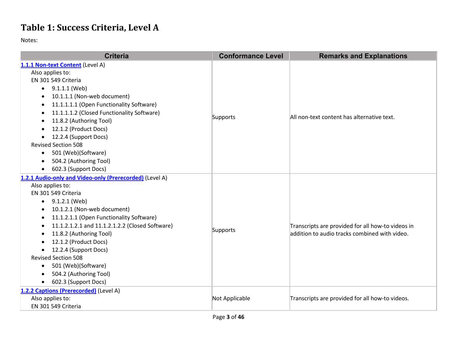## **Table 1: Success Criteria, Level A**

| <b>Criteria</b>                                              | <b>Conformance Level</b> | <b>Remarks and Explanations</b>                   |
|--------------------------------------------------------------|--------------------------|---------------------------------------------------|
| 1.1.1 Non-text Content (Level A)                             |                          |                                                   |
| Also applies to:                                             |                          |                                                   |
| EN 301 549 Criteria                                          |                          |                                                   |
| $\bullet$ 9.1.1.1 (Web)                                      |                          |                                                   |
| 10.1.1.1 (Non-web document)<br>$\bullet$                     |                          |                                                   |
| 11.1.1.1.1 (Open Functionality Software)<br>$\bullet$        |                          |                                                   |
| 11.1.1.1.2 (Closed Functionality Software)                   |                          |                                                   |
| 11.8.2 (Authoring Tool)                                      | Supports                 | All non-text content has alternative text.        |
| 12.1.2 (Product Docs)                                        |                          |                                                   |
| 12.2.4 (Support Docs)                                        |                          |                                                   |
| <b>Revised Section 508</b>                                   |                          |                                                   |
| 501 (Web)(Software)<br>$\bullet$                             |                          |                                                   |
| 504.2 (Authoring Tool)                                       |                          |                                                   |
| 602.3 (Support Docs)<br>$\bullet$                            |                          |                                                   |
| 1.2.1 Audio-only and Video-only (Prerecorded) (Level A)      |                          |                                                   |
| Also applies to:                                             |                          |                                                   |
| EN 301 549 Criteria                                          |                          |                                                   |
| 9.1.2.1 (Web)<br>$\bullet$                                   |                          |                                                   |
| 10.1.2.1 (Non-web document)<br>$\bullet$                     |                          |                                                   |
| 11.1.2.1.1 (Open Functionality Software)                     |                          |                                                   |
| 11.1.2.1.2.1 and 11.1.2.1.2.2 (Closed Software)<br>$\bullet$ | Supports                 | Transcripts are provided for all how-to videos in |
| 11.8.2 (Authoring Tool)                                      |                          | addition to audio tracks combined with video.     |
| 12.1.2 (Product Docs)                                        |                          |                                                   |
| 12.2.4 (Support Docs)<br>$\bullet$                           |                          |                                                   |
| <b>Revised Section 508</b>                                   |                          |                                                   |
| 501 (Web)(Software)<br>٠                                     |                          |                                                   |
| 504.2 (Authoring Tool)                                       |                          |                                                   |
| 602.3 (Support Docs)<br>$\bullet$                            |                          |                                                   |
| 1.2.2 Captions (Prerecorded) (Level A)                       |                          |                                                   |
| Also applies to:                                             | Not Applicable           | Transcripts are provided for all how-to videos.   |
| EN 301 549 Criteria                                          |                          |                                                   |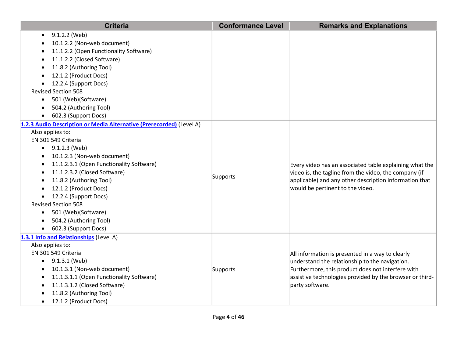| <b>Criteria</b>                                                      | <b>Conformance Level</b> | <b>Remarks and Explanations</b>                          |
|----------------------------------------------------------------------|--------------------------|----------------------------------------------------------|
| 9.1.2.2 (Web)                                                        |                          |                                                          |
| 10.1.2.2 (Non-web document)                                          |                          |                                                          |
| 11.1.2.2 (Open Functionality Software)                               |                          |                                                          |
| 11.1.2.2 (Closed Software)                                           |                          |                                                          |
| 11.8.2 (Authoring Tool)                                              |                          |                                                          |
| 12.1.2 (Product Docs)                                                |                          |                                                          |
| 12.2.4 (Support Docs)                                                |                          |                                                          |
| <b>Revised Section 508</b>                                           |                          |                                                          |
| 501 (Web)(Software)<br>$\bullet$                                     |                          |                                                          |
| 504.2 (Authoring Tool)                                               |                          |                                                          |
| 602.3 (Support Docs)                                                 |                          |                                                          |
| 1.2.3 Audio Description or Media Alternative (Prerecorded) (Level A) |                          |                                                          |
| Also applies to:                                                     |                          |                                                          |
| EN 301 549 Criteria                                                  |                          |                                                          |
| $\bullet$ 9.1.2.3 (Web)                                              |                          |                                                          |
| 10.1.2.3 (Non-web document)<br>$\bullet$                             |                          |                                                          |
| 11.1.2.3.1 (Open Functionality Software)<br>$\bullet$                |                          | Every video has an associated table explaining what the  |
| 11.1.2.3.2 (Closed Software)                                         | Supports                 | video is, the tagline from the video, the company (if    |
| 11.8.2 (Authoring Tool)                                              |                          | applicable) and any other description information that   |
| 12.1.2 (Product Docs)                                                |                          | would be pertinent to the video.                         |
| 12.2.4 (Support Docs)                                                |                          |                                                          |
| <b>Revised Section 508</b>                                           |                          |                                                          |
| 501 (Web)(Software)<br>$\bullet$                                     |                          |                                                          |
| 504.2 (Authoring Tool)<br>$\bullet$                                  |                          |                                                          |
| 602.3 (Support Docs)<br>$\bullet$                                    |                          |                                                          |
| 1.3.1 Info and Relationships (Level A)                               |                          |                                                          |
| Also applies to:                                                     |                          |                                                          |
| EN 301 549 Criteria                                                  |                          | All information is presented in a way to clearly         |
| 9.1.3.1 (Web)<br>$\bullet$                                           |                          | understand the relationship to the navigation.           |
| 10.1.3.1 (Non-web document)                                          | Supports                 | Furthermore, this product does not interfere with        |
| 11.1.3.1.1 (Open Functionality Software)<br>$\bullet$                |                          | assistive technologies provided by the browser or third- |
| 11.1.3.1.2 (Closed Software)<br>$\bullet$                            |                          | party software.                                          |
| 11.8.2 (Authoring Tool)                                              |                          |                                                          |
| 12.1.2 (Product Docs)<br>$\bullet$                                   |                          |                                                          |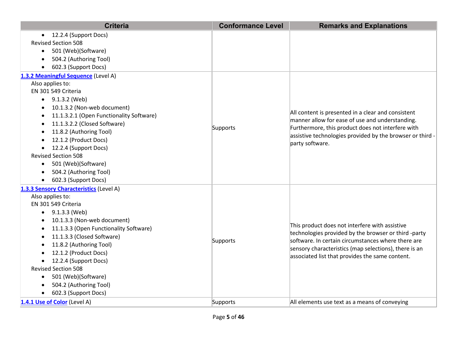| <b>Criteria</b>                                                                                                                                                                                                                                                                                                                                                                                                          | <b>Conformance Level</b> | <b>Remarks and Explanations</b>                                                                                                                                                                                                                                          |
|--------------------------------------------------------------------------------------------------------------------------------------------------------------------------------------------------------------------------------------------------------------------------------------------------------------------------------------------------------------------------------------------------------------------------|--------------------------|--------------------------------------------------------------------------------------------------------------------------------------------------------------------------------------------------------------------------------------------------------------------------|
| 12.2.4 (Support Docs)<br><b>Revised Section 508</b><br>501 (Web)(Software)<br>$\bullet$<br>504.2 (Authoring Tool)<br>602.3 (Support Docs)                                                                                                                                                                                                                                                                                |                          |                                                                                                                                                                                                                                                                          |
| 1.3.2 Meaningful Sequence (Level A)<br>Also applies to:<br>EN 301 549 Criteria<br>$\bullet$ 9.1.3.2 (Web)<br>10.1.3.2 (Non-web document)<br>11.1.3.2.1 (Open Functionality Software)<br>11.1.3.2.2 (Closed Software)<br>11.8.2 (Authoring Tool)<br>12.1.2 (Product Docs)<br>12.2.4 (Support Docs)<br><b>Revised Section 508</b><br>501 (Web)(Software)<br>$\bullet$<br>504.2 (Authoring Tool)<br>602.3 (Support Docs)    | Supports                 | All content is presented in a clear and consistent<br>manner allow for ease of use and understanding.<br>Furthermore, this product does not interfere with<br>assistive technologies provided by the browser or third -<br>party software.                               |
| 1.3.3 Sensory Characteristics (Level A)<br>Also applies to:<br>EN 301 549 Criteria<br>9.1.3.3 (Web)<br>$\bullet$<br>10.1.3.3 (Non-web document)<br>11.1.3.3 (Open Functionality Software)<br>11.1.3.3 (Closed Software)<br>11.8.2 (Authoring Tool)<br>12.1.2 (Product Docs)<br>12.2.4 (Support Docs)<br><b>Revised Section 508</b><br>501 (Web)(Software)<br>$\bullet$<br>504.2 (Authoring Tool)<br>602.3 (Support Docs) | Supports                 | This product does not interfere with assistive<br>technologies provided by the browser or third -party<br>software. In certain circumstances where there are<br>sensory characteristics (map selections), there is an<br>associated list that provides the same content. |
| 1.4.1 Use of Color (Level A)                                                                                                                                                                                                                                                                                                                                                                                             | Supports                 | All elements use text as a means of conveying                                                                                                                                                                                                                            |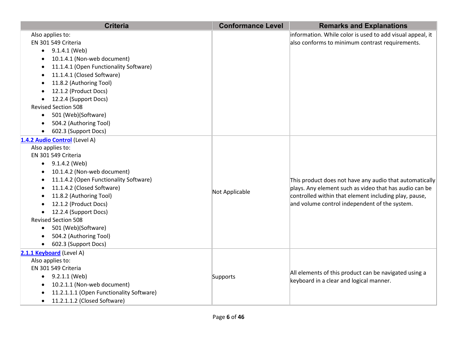| <b>Criteria</b>                           | <b>Conformance Level</b> | <b>Remarks and Explanations</b>                           |
|-------------------------------------------|--------------------------|-----------------------------------------------------------|
| Also applies to:                          |                          | information. While color is used to add visual appeal, it |
| EN 301 549 Criteria                       |                          | also conforms to minimum contrast requirements.           |
| $\bullet$ 9.1.4.1 (Web)                   |                          |                                                           |
| 10.1.4.1 (Non-web document)               |                          |                                                           |
| 11.1.4.1 (Open Functionality Software)    |                          |                                                           |
| 11.1.4.1 (Closed Software)<br>$\bullet$   |                          |                                                           |
| 11.8.2 (Authoring Tool)                   |                          |                                                           |
| 12.1.2 (Product Docs)                     |                          |                                                           |
| 12.2.4 (Support Docs)                     |                          |                                                           |
| <b>Revised Section 508</b>                |                          |                                                           |
| 501 (Web)(Software)<br>$\bullet$          |                          |                                                           |
| 504.2 (Authoring Tool)                    |                          |                                                           |
| 602.3 (Support Docs)<br>$\bullet$         |                          |                                                           |
| 1.4.2 Audio Control (Level A)             |                          |                                                           |
| Also applies to:                          |                          |                                                           |
| EN 301 549 Criteria                       |                          |                                                           |
| 9.1.4.2 (Web)<br>$\bullet$                |                          |                                                           |
| 10.1.4.2 (Non-web document)               |                          |                                                           |
| 11.1.4.2 (Open Functionality Software)    |                          | This product does not have any audio that automatically   |
| 11.1.4.2 (Closed Software)                | Not Applicable           | plays. Any element such as video that has audio can be    |
| 11.8.2 (Authoring Tool)                   |                          | controlled within that element including play, pause,     |
| 12.1.2 (Product Docs)                     |                          | and volume control independent of the system.             |
| 12.2.4 (Support Docs)<br>$\bullet$        |                          |                                                           |
| <b>Revised Section 508</b>                |                          |                                                           |
| 501 (Web)(Software)<br>$\bullet$          |                          |                                                           |
| 504.2 (Authoring Tool)                    |                          |                                                           |
| 602.3 (Support Docs)                      |                          |                                                           |
| 2.1.1 Keyboard (Level A)                  |                          |                                                           |
| Also applies to:                          |                          |                                                           |
| EN 301 549 Criteria                       |                          | All elements of this product can be navigated using a     |
| $\bullet$ 9.2.1.1 (Web)                   | Supports                 | keyboard in a clear and logical manner.                   |
| 10.2.1.1 (Non-web document)<br>$\bullet$  |                          |                                                           |
| 11.2.1.1.1 (Open Functionality Software)  |                          |                                                           |
| 11.2.1.1.2 (Closed Software)<br>$\bullet$ |                          |                                                           |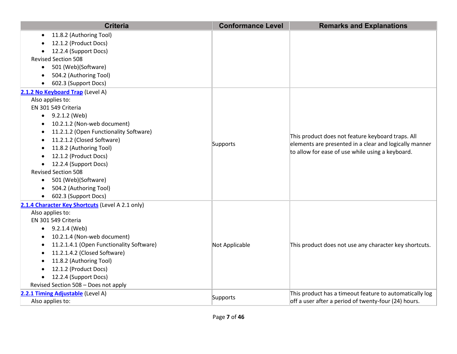| <b>Criteria</b>                                  | <b>Conformance Level</b> | <b>Remarks and Explanations</b>                                                                                                                                 |
|--------------------------------------------------|--------------------------|-----------------------------------------------------------------------------------------------------------------------------------------------------------------|
| 11.8.2 (Authoring Tool)<br>٠                     |                          |                                                                                                                                                                 |
| 12.1.2 (Product Docs)                            |                          |                                                                                                                                                                 |
| 12.2.4 (Support Docs)                            |                          |                                                                                                                                                                 |
| <b>Revised Section 508</b>                       |                          |                                                                                                                                                                 |
| 501 (Web)(Software)<br>$\bullet$                 |                          |                                                                                                                                                                 |
| 504.2 (Authoring Tool)<br>$\bullet$              |                          |                                                                                                                                                                 |
| 602.3 (Support Docs)                             |                          |                                                                                                                                                                 |
| 2.1.2 No Keyboard Trap (Level A)                 |                          |                                                                                                                                                                 |
| Also applies to:                                 |                          |                                                                                                                                                                 |
| EN 301 549 Criteria                              |                          |                                                                                                                                                                 |
| $\bullet$ 9.2.1.2 (Web)                          |                          |                                                                                                                                                                 |
| 10.2.1.2 (Non-web document)                      |                          |                                                                                                                                                                 |
| 11.2.1.2 (Open Functionality Software)           |                          | This product does not feature keyboard traps. All<br>elements are presented in a clear and logically manner<br>to allow for ease of use while using a keyboard. |
| 11.2.1.2 (Closed Software)<br>٠                  | Supports                 |                                                                                                                                                                 |
| 11.8.2 (Authoring Tool)<br>$\bullet$             |                          |                                                                                                                                                                 |
| 12.1.2 (Product Docs)                            |                          |                                                                                                                                                                 |
| 12.2.4 (Support Docs)<br>$\bullet$               |                          |                                                                                                                                                                 |
| <b>Revised Section 508</b>                       |                          |                                                                                                                                                                 |
| 501 (Web)(Software)<br>$\bullet$                 |                          |                                                                                                                                                                 |
| 504.2 (Authoring Tool)                           |                          |                                                                                                                                                                 |
| 602.3 (Support Docs)                             |                          |                                                                                                                                                                 |
| 2.1.4 Character Key Shortcuts (Level A 2.1 only) |                          |                                                                                                                                                                 |
| Also applies to:                                 |                          |                                                                                                                                                                 |
| EN 301 549 Criteria                              |                          |                                                                                                                                                                 |
| $\bullet$ 9.2.1.4 (Web)                          |                          |                                                                                                                                                                 |
| 10.2.1.4 (Non-web document)                      |                          |                                                                                                                                                                 |
| 11.2.1.4.1 (Open Functionality Software)         | Not Applicable           | This product does not use any character key shortcuts.                                                                                                          |
| 11.2.1.4.2 (Closed Software)                     |                          |                                                                                                                                                                 |
| 11.8.2 (Authoring Tool)                          |                          |                                                                                                                                                                 |
| 12.1.2 (Product Docs)                            |                          |                                                                                                                                                                 |
| 12.2.4 (Support Docs)<br>$\bullet$               |                          |                                                                                                                                                                 |
| Revised Section 508 - Does not apply             |                          |                                                                                                                                                                 |
| 2.2.1 Timing Adjustable (Level A)                | Supports                 | This product has a timeout feature to automatically log                                                                                                         |
| Also applies to:                                 |                          | off a user after a period of twenty-four (24) hours.                                                                                                            |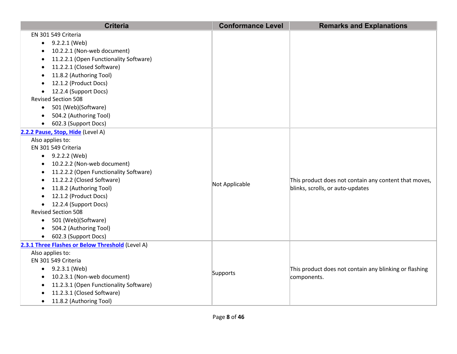| <b>Criteria</b>                                     | <b>Conformance Level</b> | <b>Remarks and Explanations</b>                        |
|-----------------------------------------------------|--------------------------|--------------------------------------------------------|
| EN 301 549 Criteria                                 |                          |                                                        |
| 9.2.2.1 (Web)                                       |                          |                                                        |
| 10.2.2.1 (Non-web document)<br>$\bullet$            |                          |                                                        |
| 11.2.2.1 (Open Functionality Software)              |                          |                                                        |
| 11.2.2.1 (Closed Software)<br>$\bullet$             |                          |                                                        |
| 11.8.2 (Authoring Tool)<br>$\bullet$                |                          |                                                        |
| 12.1.2 (Product Docs)<br>$\bullet$                  |                          |                                                        |
| 12.2.4 (Support Docs)                               |                          |                                                        |
| <b>Revised Section 508</b>                          |                          |                                                        |
| 501 (Web)(Software)<br>$\bullet$                    |                          |                                                        |
| 504.2 (Authoring Tool)                              |                          |                                                        |
| 602.3 (Support Docs)                                |                          |                                                        |
| 2.2.2 Pause, Stop, Hide (Level A)                   |                          |                                                        |
| Also applies to:                                    |                          |                                                        |
| EN 301 549 Criteria                                 |                          |                                                        |
| $\bullet$ 9.2.2.2 (Web)                             |                          |                                                        |
| 10.2.2.2 (Non-web document)<br>$\bullet$            |                          |                                                        |
| 11.2.2.2 (Open Functionality Software)<br>$\bullet$ |                          |                                                        |
| 11.2.2.2 (Closed Software)                          | Not Applicable           | This product does not contain any content that moves,  |
| 11.8.2 (Authoring Tool)                             |                          | blinks, scrolls, or auto-updates                       |
| 12.1.2 (Product Docs)                               |                          |                                                        |
| 12.2.4 (Support Docs)                               |                          |                                                        |
| <b>Revised Section 508</b>                          |                          |                                                        |
| 501 (Web)(Software)<br>$\bullet$                    |                          |                                                        |
| 504.2 (Authoring Tool)<br>$\bullet$                 |                          |                                                        |
| 602.3 (Support Docs)<br>$\bullet$                   |                          |                                                        |
| 2.3.1 Three Flashes or Below Threshold (Level A)    |                          |                                                        |
| Also applies to:                                    |                          |                                                        |
| EN 301 549 Criteria                                 |                          |                                                        |
| $\bullet$ 9.2.3.1 (Web)                             | Supports                 | This product does not contain any blinking or flashing |
| 10.2.3.1 (Non-web document)<br>$\bullet$            |                          | components.                                            |
| 11.2.3.1 (Open Functionality Software)<br>$\bullet$ |                          |                                                        |
| 11.2.3.1 (Closed Software)                          |                          |                                                        |
| 11.8.2 (Authoring Tool)                             |                          |                                                        |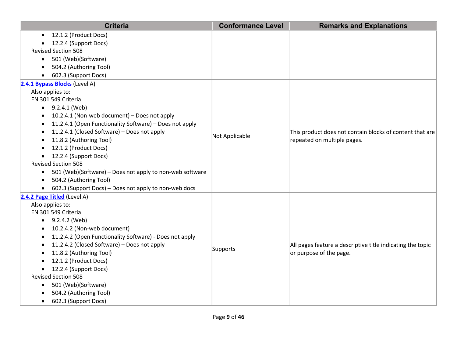|           | <b>Criteria</b>                                          | <b>Conformance Level</b> | <b>Remarks and Explanations</b>                                                         |
|-----------|----------------------------------------------------------|--------------------------|-----------------------------------------------------------------------------------------|
| $\bullet$ | 12.1.2 (Product Docs)                                    |                          |                                                                                         |
|           | 12.2.4 (Support Docs)                                    |                          |                                                                                         |
|           | <b>Revised Section 508</b>                               |                          |                                                                                         |
| $\bullet$ | 501 (Web)(Software)                                      |                          |                                                                                         |
|           | 504.2 (Authoring Tool)                                   |                          |                                                                                         |
|           | 602.3 (Support Docs)                                     |                          |                                                                                         |
|           | 2.4.1 Bypass Blocks (Level A)                            |                          |                                                                                         |
|           | Also applies to:                                         |                          |                                                                                         |
|           | EN 301 549 Criteria                                      |                          |                                                                                         |
| $\bullet$ | 9.2.4.1 (Web)                                            |                          |                                                                                         |
|           | 10.2.4.1 (Non-web document) - Does not apply             |                          |                                                                                         |
| ٠         | 11.2.4.1 (Open Functionality Software) - Does not apply  |                          | This product does not contain blocks of content that are<br>repeated on multiple pages. |
| $\bullet$ | 11.2.4.1 (Closed Software) - Does not apply              | Not Applicable           |                                                                                         |
| $\bullet$ | 11.8.2 (Authoring Tool)                                  |                          |                                                                                         |
|           | 12.1.2 (Product Docs)                                    |                          |                                                                                         |
| $\bullet$ | 12.2.4 (Support Docs)                                    |                          |                                                                                         |
|           | <b>Revised Section 508</b>                               |                          |                                                                                         |
| $\bullet$ | 501 (Web)(Software) - Does not apply to non-web software |                          |                                                                                         |
| $\bullet$ | 504.2 (Authoring Tool)                                   |                          |                                                                                         |
| $\bullet$ | 602.3 (Support Docs) - Does not apply to non-web docs    |                          |                                                                                         |
|           | 2.4.2 Page Titled (Level A)                              |                          |                                                                                         |
|           | Also applies to:                                         |                          |                                                                                         |
|           | EN 301 549 Criteria                                      |                          |                                                                                         |
|           | $\bullet$ 9.2.4.2 (Web)                                  |                          |                                                                                         |
|           | 10.2.4.2 (Non-web document)                              |                          |                                                                                         |
|           | 11.2.4.2 (Open Functionality Software) - Does not apply  |                          |                                                                                         |
|           | 11.2.4.2 (Closed Software) - Does not apply              | Supports                 | All pages feature a descriptive title indicating the topic                              |
|           | 11.8.2 (Authoring Tool)                                  |                          | or purpose of the page.                                                                 |
|           | 12.1.2 (Product Docs)                                    |                          |                                                                                         |
| $\bullet$ | 12.2.4 (Support Docs)                                    |                          |                                                                                         |
|           | <b>Revised Section 508</b>                               |                          |                                                                                         |
| $\bullet$ | 501 (Web)(Software)                                      |                          |                                                                                         |
|           | 504.2 (Authoring Tool)                                   |                          |                                                                                         |
|           | 602.3 (Support Docs)                                     |                          |                                                                                         |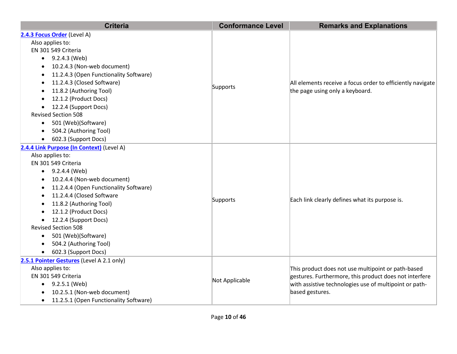| <b>Criteria</b>                                     | <b>Conformance Level</b> | <b>Remarks and Explanations</b>                                                               |
|-----------------------------------------------------|--------------------------|-----------------------------------------------------------------------------------------------|
| 2.4.3 Focus Order (Level A)                         |                          |                                                                                               |
| Also applies to:                                    |                          |                                                                                               |
| EN 301 549 Criteria                                 |                          |                                                                                               |
| 9.2.4.3 (Web)<br>$\bullet$                          |                          |                                                                                               |
| 10.2.4.3 (Non-web document)                         |                          |                                                                                               |
| 11.2.4.3 (Open Functionality Software)<br>$\bullet$ |                          | All elements receive a focus order to efficiently navigate<br>the page using only a keyboard. |
| 11.2.4.3 (Closed Software)                          |                          |                                                                                               |
| 11.8.2 (Authoring Tool)<br>$\bullet$                | Supports                 |                                                                                               |
| 12.1.2 (Product Docs)                               |                          |                                                                                               |
| 12.2.4 (Support Docs)                               |                          |                                                                                               |
| <b>Revised Section 508</b>                          |                          |                                                                                               |
| 501 (Web)(Software)<br>$\bullet$                    |                          |                                                                                               |
| 504.2 (Authoring Tool)                              |                          |                                                                                               |
| 602.3 (Support Docs)<br>$\bullet$                   |                          |                                                                                               |
| 2.4.4 Link Purpose (In Context) (Level A)           |                          |                                                                                               |
| Also applies to:                                    |                          | Each link clearly defines what its purpose is.                                                |
| EN 301 549 Criteria                                 |                          |                                                                                               |
| 9.2.4.4 (Web)<br>$\bullet$                          |                          |                                                                                               |
| 10.2.4.4 (Non-web document)                         |                          |                                                                                               |
| 11.2.4.4 (Open Functionality Software)<br>$\bullet$ |                          |                                                                                               |
| 11.2.4.4 (Closed Software<br>$\bullet$              | Supports                 |                                                                                               |
| 11.8.2 (Authoring Tool)<br>$\bullet$                |                          |                                                                                               |
| 12.1.2 (Product Docs)                               |                          |                                                                                               |
| 12.2.4 (Support Docs)                               |                          |                                                                                               |
| <b>Revised Section 508</b>                          |                          |                                                                                               |
| 501 (Web)(Software)<br>$\bullet$                    |                          |                                                                                               |
| 504.2 (Authoring Tool)<br>$\bullet$                 |                          |                                                                                               |
| 602.3 (Support Docs)                                |                          |                                                                                               |
| 2.5.1 Pointer Gestures (Level A 2.1 only)           |                          |                                                                                               |
| Also applies to:                                    |                          | This product does not use multipoint or path-based                                            |
| EN 301 549 Criteria                                 | Not Applicable           | gestures. Furthermore, this product does not interfere                                        |
| 9.2.5.1 (Web)<br>$\bullet$                          |                          | with assistive technologies use of multipoint or path-                                        |
| 10.2.5.1 (Non-web document)                         |                          | based gestures.                                                                               |
| 11.2.5.1 (Open Functionality Software)              |                          |                                                                                               |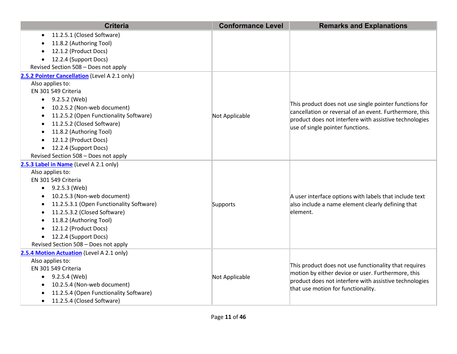| <b>Criteria</b>                               | <b>Conformance Level</b> | <b>Remarks and Explanations</b>                                                                                                                    |
|-----------------------------------------------|--------------------------|----------------------------------------------------------------------------------------------------------------------------------------------------|
| 11.2.5.1 (Closed Software)                    |                          |                                                                                                                                                    |
| 11.8.2 (Authoring Tool)                       |                          |                                                                                                                                                    |
| 12.1.2 (Product Docs)                         |                          |                                                                                                                                                    |
| 12.2.4 (Support Docs)<br>$\bullet$            |                          |                                                                                                                                                    |
| Revised Section 508 - Does not apply          |                          |                                                                                                                                                    |
| 2.5.2 Pointer Cancellation (Level A 2.1 only) |                          |                                                                                                                                                    |
| Also applies to:                              |                          |                                                                                                                                                    |
| EN 301 549 Criteria                           |                          |                                                                                                                                                    |
| $\bullet$ 9.2.5.2 (Web)                       |                          |                                                                                                                                                    |
| 10.2.5.2 (Non-web document)                   |                          | This product does not use single pointer functions for                                                                                             |
| 11.2.5.2 (Open Functionality Software)        | Not Applicable           | cancellation or reversal of an event. Furthermore, this<br>product does not interfere with assistive technologies                                  |
| 11.2.5.2 (Closed Software)                    |                          | use of single pointer functions.                                                                                                                   |
| 11.8.2 (Authoring Tool)                       |                          |                                                                                                                                                    |
| 12.1.2 (Product Docs)<br>$\bullet$            |                          |                                                                                                                                                    |
| 12.2.4 (Support Docs)<br>$\bullet$            |                          |                                                                                                                                                    |
| Revised Section 508 - Does not apply          |                          |                                                                                                                                                    |
| 2.5.3 Label in Name (Level A 2.1 only)        |                          |                                                                                                                                                    |
| Also applies to:                              |                          |                                                                                                                                                    |
| EN 301 549 Criteria                           |                          |                                                                                                                                                    |
| 9.2.5.3 (Web)<br>$\bullet$                    |                          |                                                                                                                                                    |
| 10.2.5.3 (Non-web document)                   |                          | A user interface options with labels that include text<br>also include a name element clearly defining that<br>element.                            |
| 11.2.5.3.1 (Open Functionality Software)      | Supports                 |                                                                                                                                                    |
| 11.2.5.3.2 (Closed Software)<br>$\bullet$     |                          |                                                                                                                                                    |
| 11.8.2 (Authoring Tool)                       |                          |                                                                                                                                                    |
| 12.1.2 (Product Docs)                         |                          |                                                                                                                                                    |
| 12.2.4 (Support Docs)<br>$\bullet$            |                          |                                                                                                                                                    |
| Revised Section 508 - Does not apply          |                          |                                                                                                                                                    |
| 2.5.4 Motion Actuation (Level A 2.1 only)     |                          |                                                                                                                                                    |
| Also applies to:                              |                          | This product does not use functionality that requires                                                                                              |
| EN 301 549 Criteria                           | Not Applicable           | motion by either device or user. Furthermore, this<br>product does not interfere with assistive technologies<br>that use motion for functionality. |
| 9.2.5.4 (Web)<br>$\bullet$                    |                          |                                                                                                                                                    |
| 10.2.5.4 (Non-web document)<br>$\bullet$      |                          |                                                                                                                                                    |
| 11.2.5.4 (Open Functionality Software)        |                          |                                                                                                                                                    |
| 11.2.5.4 (Closed Software)<br>$\bullet$       |                          |                                                                                                                                                    |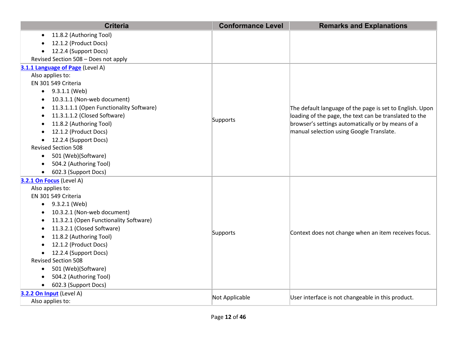| <b>Criteria</b>                                     | <b>Conformance Level</b> | <b>Remarks and Explanations</b>                          |
|-----------------------------------------------------|--------------------------|----------------------------------------------------------|
| 11.8.2 (Authoring Tool)                             |                          |                                                          |
| 12.1.2 (Product Docs)                               |                          |                                                          |
| 12.2.4 (Support Docs)                               |                          |                                                          |
| Revised Section 508 - Does not apply                |                          |                                                          |
| 3.1.1 Language of Page (Level A)                    |                          |                                                          |
| Also applies to:                                    |                          |                                                          |
| EN 301 549 Criteria                                 |                          |                                                          |
| $\bullet$ 9.3.1.1 (Web)                             |                          |                                                          |
| 10.3.1.1 (Non-web document)<br>٠                    |                          |                                                          |
| 11.3.1.1.1 (Open Functionality Software)            |                          | The default language of the page is set to English. Upon |
| 11.3.1.1.2 (Closed Software)                        |                          | loading of the page, the text can be translated to the   |
| 11.8.2 (Authoring Tool)                             | Supports                 | browser's settings automatically or by means of a        |
| 12.1.2 (Product Docs)                               |                          | manual selection using Google Translate.                 |
| 12.2.4 (Support Docs)<br>$\bullet$                  |                          |                                                          |
| <b>Revised Section 508</b>                          |                          |                                                          |
| 501 (Web)(Software)<br>$\bullet$                    |                          |                                                          |
| 504.2 (Authoring Tool)                              |                          |                                                          |
| 602.3 (Support Docs)                                |                          |                                                          |
| 3.2.1 On Focus (Level A)                            |                          |                                                          |
| Also applies to:                                    |                          |                                                          |
| EN 301 549 Criteria                                 |                          |                                                          |
| 9.3.2.1 (Web)<br>$\bullet$                          |                          |                                                          |
| 10.3.2.1 (Non-web document)                         |                          |                                                          |
| 11.3.2.1 (Open Functionality Software)<br>$\bullet$ |                          |                                                          |
| 11.3.2.1 (Closed Software)                          |                          |                                                          |
| 11.8.2 (Authoring Tool)                             | Supports                 | Context does not change when an item receives focus.     |
| 12.1.2 (Product Docs)                               |                          |                                                          |
| 12.2.4 (Support Docs)                               |                          |                                                          |
| <b>Revised Section 508</b>                          |                          |                                                          |
| 501 (Web)(Software)<br>$\bullet$                    |                          |                                                          |
| 504.2 (Authoring Tool)                              |                          |                                                          |
| 602.3 (Support Docs)                                |                          |                                                          |
| 3.2.2 On Input (Level A)                            | Not Applicable           | User interface is not changeable in this product.        |
| Also applies to:                                    |                          |                                                          |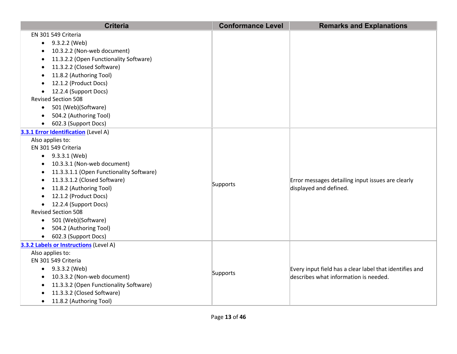| <b>Criteria</b>                                     | <b>Conformance Level</b> | <b>Remarks and Explanations</b>                                                                  |
|-----------------------------------------------------|--------------------------|--------------------------------------------------------------------------------------------------|
| EN 301 549 Criteria                                 |                          |                                                                                                  |
| 9.3.2.2 (Web)                                       |                          |                                                                                                  |
| 10.3.2.2 (Non-web document)                         |                          |                                                                                                  |
| 11.3.2.2 (Open Functionality Software)              |                          |                                                                                                  |
| 11.3.2.2 (Closed Software)                          |                          |                                                                                                  |
| 11.8.2 (Authoring Tool)                             |                          |                                                                                                  |
| 12.1.2 (Product Docs)<br>$\bullet$                  |                          |                                                                                                  |
| 12.2.4 (Support Docs)                               |                          |                                                                                                  |
| <b>Revised Section 508</b>                          |                          |                                                                                                  |
| 501 (Web)(Software)<br>$\bullet$                    |                          |                                                                                                  |
| 504.2 (Authoring Tool)                              |                          |                                                                                                  |
| 602.3 (Support Docs)<br>$\bullet$                   |                          |                                                                                                  |
| 3.3.1 Error Identification (Level A)                |                          |                                                                                                  |
| Also applies to:                                    |                          |                                                                                                  |
| EN 301 549 Criteria                                 |                          |                                                                                                  |
| $\bullet$ 9.3.3.1 (Web)                             |                          |                                                                                                  |
| 10.3.3.1 (Non-web document)<br>$\bullet$            |                          |                                                                                                  |
| 11.3.3.1.1 (Open Functionality Software)            |                          |                                                                                                  |
| 11.3.3.1.2 (Closed Software)                        | Supports                 | Error messages detailing input issues are clearly                                                |
| 11.8.2 (Authoring Tool)                             |                          | displayed and defined.                                                                           |
| 12.1.2 (Product Docs)                               |                          |                                                                                                  |
| 12.2.4 (Support Docs)                               |                          |                                                                                                  |
| <b>Revised Section 508</b>                          |                          |                                                                                                  |
| • 501 (Web)(Software)                               |                          |                                                                                                  |
| 504.2 (Authoring Tool)                              |                          |                                                                                                  |
| • 602.3 (Support Docs)                              |                          |                                                                                                  |
| 3.3.2 Labels or Instructions (Level A)              |                          |                                                                                                  |
| Also applies to:                                    |                          |                                                                                                  |
| EN 301 549 Criteria                                 |                          | Every input field has a clear label that identifies and<br>describes what information is needed. |
| $\bullet$ 9.3.3.2 (Web)                             | Supports                 |                                                                                                  |
| 10.3.3.2 (Non-web document)                         |                          |                                                                                                  |
| 11.3.3.2 (Open Functionality Software)<br>$\bullet$ |                          |                                                                                                  |
| 11.3.3.2 (Closed Software)                          |                          |                                                                                                  |
| 11.8.2 (Authoring Tool)<br>$\bullet$                |                          |                                                                                                  |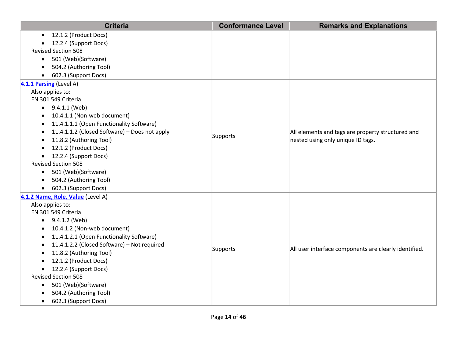|           | <b>Criteria</b>                               | <b>Conformance Level</b> | <b>Remarks and Explanations</b>                                                        |
|-----------|-----------------------------------------------|--------------------------|----------------------------------------------------------------------------------------|
| $\bullet$ | 12.1.2 (Product Docs)                         |                          |                                                                                        |
|           | 12.2.4 (Support Docs)                         |                          |                                                                                        |
|           | <b>Revised Section 508</b>                    |                          |                                                                                        |
| $\bullet$ | 501 (Web)(Software)                           |                          |                                                                                        |
| $\bullet$ | 504.2 (Authoring Tool)                        |                          |                                                                                        |
| $\bullet$ | 602.3 (Support Docs)                          |                          |                                                                                        |
|           | 4.1.1 Parsing (Level A)                       |                          |                                                                                        |
|           | Also applies to:                              |                          |                                                                                        |
|           | EN 301 549 Criteria                           |                          |                                                                                        |
| $\bullet$ | 9.4.1.1 (Web)                                 |                          |                                                                                        |
| ٠         | 10.4.1.1 (Non-web document)                   |                          |                                                                                        |
| $\bullet$ | 11.4.1.1.1 (Open Functionality Software)      |                          |                                                                                        |
| $\bullet$ | 11.4.1.1.2 (Closed Software) - Does not apply | Supports                 | All elements and tags are property structured and<br>nested using only unique ID tags. |
| $\bullet$ | 11.8.2 (Authoring Tool)                       |                          |                                                                                        |
|           | 12.1.2 (Product Docs)                         |                          |                                                                                        |
| $\bullet$ | 12.2.4 (Support Docs)                         |                          |                                                                                        |
|           | <b>Revised Section 508</b>                    |                          |                                                                                        |
| $\bullet$ | 501 (Web)(Software)                           |                          |                                                                                        |
| $\bullet$ | 504.2 (Authoring Tool)                        |                          |                                                                                        |
| $\bullet$ | 602.3 (Support Docs)                          |                          |                                                                                        |
|           | 4.1.2 Name, Role, Value (Level A)             |                          |                                                                                        |
|           | Also applies to:                              |                          |                                                                                        |
|           | EN 301 549 Criteria                           |                          |                                                                                        |
|           | $\bullet$ 9.4.1.2 (Web)                       |                          |                                                                                        |
|           | 10.4.1.2 (Non-web document)                   |                          |                                                                                        |
|           | 11.4.1.2.1 (Open Functionality Software)      |                          |                                                                                        |
| $\bullet$ | 11.4.1.2.2 (Closed Software) - Not required   | Supports                 | All user interface components are clearly identified.                                  |
|           | 11.8.2 (Authoring Tool)                       |                          |                                                                                        |
|           | 12.1.2 (Product Docs)                         |                          |                                                                                        |
| $\bullet$ | 12.2.4 (Support Docs)                         |                          |                                                                                        |
|           | <b>Revised Section 508</b>                    |                          |                                                                                        |
| $\bullet$ | 501 (Web)(Software)                           |                          |                                                                                        |
|           | 504.2 (Authoring Tool)                        |                          |                                                                                        |
| $\bullet$ | 602.3 (Support Docs)                          |                          |                                                                                        |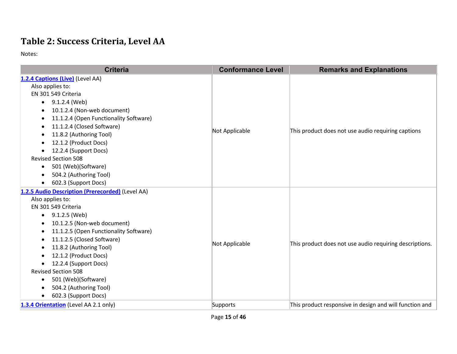## **Table 2: Success Criteria, Level AA**

| <b>Criteria</b>                                                                                                                                                                                                                                                                                                                                                                                                             | <b>Conformance Level</b> | <b>Remarks and Explanations</b>                         |
|-----------------------------------------------------------------------------------------------------------------------------------------------------------------------------------------------------------------------------------------------------------------------------------------------------------------------------------------------------------------------------------------------------------------------------|--------------------------|---------------------------------------------------------|
| 1.2.4 Captions (Live) (Level AA)<br>Also applies to:<br>EN 301 549 Criteria<br>$\bullet$ 9.1.2.4 (Web)<br>10.1.2.4 (Non-web document)<br>11.1.2.4 (Open Functionality Software)<br>11.1.2.4 (Closed Software)<br>11.8.2 (Authoring Tool)<br>12.1.2 (Product Docs)<br>12.2.4 (Support Docs)<br><b>Revised Section 508</b><br>501 (Web)(Software)<br>$\bullet$<br>504.2 (Authoring Tool)<br>602.3 (Support Docs)<br>$\bullet$ | Not Applicable           | This product does not use audio requiring captions      |
| 1.2.5 Audio Description (Prerecorded) (Level AA)<br>Also applies to:<br>EN 301 549 Criteria<br>9.1.2.5 (Web)<br>10.1.2.5 (Non-web document)<br>11.1.2.5 (Open Functionality Software)<br>11.1.2.5 (Closed Software)<br>11.8.2 (Authoring Tool)<br>12.1.2 (Product Docs)<br>12.2.4 (Support Docs)<br><b>Revised Section 508</b><br>501 (Web)(Software)<br>504.2 (Authoring Tool)<br>602.3 (Support Docs)                     | Not Applicable           | This product does not use audio requiring descriptions. |
| 1.3.4 Orientation (Level AA 2.1 only)                                                                                                                                                                                                                                                                                                                                                                                       | Supports                 | This product responsive in design and will function and |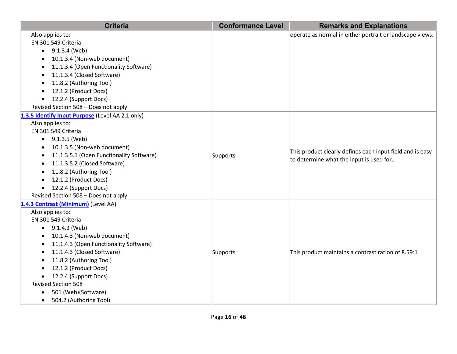| <b>Criteria</b>                                       | <b>Conformance Level</b> | <b>Remarks and Explanations</b>                                                                       |
|-------------------------------------------------------|--------------------------|-------------------------------------------------------------------------------------------------------|
| Also applies to:                                      |                          | operate as normal in either portrait or landscape views.                                              |
| EN 301 549 Criteria                                   |                          |                                                                                                       |
| 9.1.3.4 (Web)                                         |                          |                                                                                                       |
| 10.1.3.4 (Non-web document)                           |                          |                                                                                                       |
| 11.1.3.4 (Open Functionality Software)                |                          |                                                                                                       |
| 11.1.3.4 (Closed Software)                            |                          |                                                                                                       |
| 11.8.2 (Authoring Tool)                               |                          |                                                                                                       |
| 12.1.2 (Product Docs)                                 |                          |                                                                                                       |
| 12.2.4 (Support Docs)                                 |                          |                                                                                                       |
| Revised Section 508 - Does not apply                  |                          |                                                                                                       |
| 1.3.5 Identify Input Purpose (Level AA 2.1 only)      |                          |                                                                                                       |
| Also applies to:                                      |                          |                                                                                                       |
| EN 301 549 Criteria                                   |                          |                                                                                                       |
| $\bullet$ 9.1.3.5 (Web)                               |                          | This product clearly defines each input field and is easy<br>to determine what the input is used for. |
| 10.1.3.5 (Non-web document)                           |                          |                                                                                                       |
| 11.1.3.5.1 (Open Functionality Software)<br>$\bullet$ | Supports                 |                                                                                                       |
| 11.1.3.5.2 (Closed Software)<br>$\bullet$             |                          |                                                                                                       |
| 11.8.2 (Authoring Tool)                               |                          |                                                                                                       |
| 12.1.2 (Product Docs)                                 |                          |                                                                                                       |
| 12.2.4 (Support Docs)                                 |                          |                                                                                                       |
| Revised Section 508 - Does not apply                  |                          |                                                                                                       |
| 1.4.3 Contrast (Minimum) (Level AA)                   |                          |                                                                                                       |
| Also applies to:                                      |                          |                                                                                                       |
| EN 301 549 Criteria                                   |                          |                                                                                                       |
| $\bullet$ 9.1.4.3 (Web)                               |                          |                                                                                                       |
| 10.1.4.3 (Non-web document)                           |                          |                                                                                                       |
| 11.1.4.3 (Open Functionality Software)                |                          |                                                                                                       |
| 11.1.4.3 (Closed Software)                            | Supports                 | This product maintains a contrast ration of 8.59:1                                                    |
| 11.8.2 (Authoring Tool)                               |                          |                                                                                                       |
| 12.1.2 (Product Docs)                                 |                          |                                                                                                       |
| 12.2.4 (Support Docs)                                 |                          |                                                                                                       |
| <b>Revised Section 508</b>                            |                          |                                                                                                       |
| 501 (Web)(Software)<br>$\bullet$                      |                          |                                                                                                       |
| 504.2 (Authoring Tool)<br>$\bullet$                   |                          |                                                                                                       |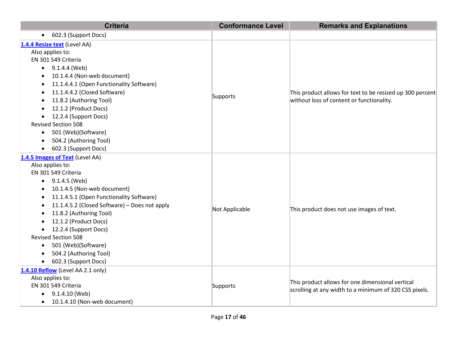| <b>Criteria</b>                                            | <b>Conformance Level</b> | <b>Remarks and Explanations</b>                                                                            |
|------------------------------------------------------------|--------------------------|------------------------------------------------------------------------------------------------------------|
| 602.3 (Support Docs)<br>$\bullet$                          |                          |                                                                                                            |
| 1.4.4 Resize text (Level AA)                               |                          |                                                                                                            |
| Also applies to:                                           |                          |                                                                                                            |
| EN 301 549 Criteria                                        |                          | This product allows for text to be resized up 300 percent<br>without loss of content or functionality.     |
| $\bullet$ 9.1.4.4 (Web)                                    |                          |                                                                                                            |
| 10.1.4.4 (Non-web document)<br>٠                           |                          |                                                                                                            |
| 11.1.4.4.1 (Open Functionality Software)                   |                          |                                                                                                            |
| 11.1.4.4.2 (Closed Software)                               |                          |                                                                                                            |
| 11.8.2 (Authoring Tool)                                    | Supports                 |                                                                                                            |
| 12.1.2 (Product Docs)                                      |                          |                                                                                                            |
| 12.2.4 (Support Docs)<br>$\bullet$                         |                          |                                                                                                            |
| <b>Revised Section 508</b>                                 |                          |                                                                                                            |
| 501 (Web)(Software)<br>$\bullet$                           |                          |                                                                                                            |
| 504.2 (Authoring Tool)<br>$\bullet$                        |                          |                                                                                                            |
| 602.3 (Support Docs)                                       |                          |                                                                                                            |
| 1.4.5 Images of Text (Level AA)                            |                          |                                                                                                            |
| Also applies to:                                           |                          |                                                                                                            |
| EN 301 549 Criteria                                        |                          |                                                                                                            |
| 9.1.4.5 (Web)<br>$\bullet$                                 |                          |                                                                                                            |
| 10.1.4.5 (Non-web document)                                |                          |                                                                                                            |
| 11.1.4.5.1 (Open Functionality Software)<br>$\bullet$      |                          |                                                                                                            |
| 11.1.4.5.2 (Closed Software) - Does not apply<br>$\bullet$ |                          |                                                                                                            |
| 11.8.2 (Authoring Tool)                                    | Not Applicable           | This product does not use images of text.                                                                  |
| 12.1.2 (Product Docs)                                      |                          |                                                                                                            |
| 12.2.4 (Support Docs)<br>$\bullet$                         |                          |                                                                                                            |
| <b>Revised Section 508</b>                                 |                          |                                                                                                            |
| 501 (Web)(Software)<br>$\bullet$                           |                          |                                                                                                            |
| 504.2 (Authoring Tool)                                     |                          |                                                                                                            |
| 602.3 (Support Docs)<br>$\bullet$                          |                          |                                                                                                            |
| 1.4.10 Reflow (Level AA 2.1 only)                          |                          |                                                                                                            |
| Also applies to:                                           |                          |                                                                                                            |
| EN 301 549 Criteria                                        | Supports                 | This product allows for one dimensional vertical<br>scrolling at any width to a minimum of 320 CSS pixels. |
| 9.1.4.10 (Web)<br>$\bullet$                                |                          |                                                                                                            |
| 10.1.4.10 (Non-web document)<br>$\bullet$                  |                          |                                                                                                            |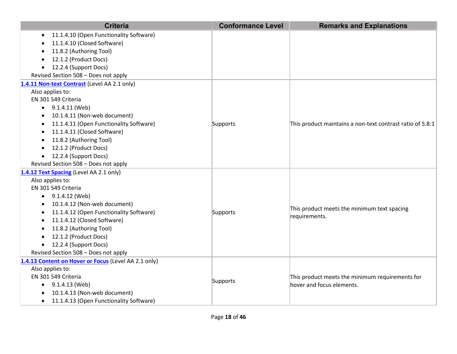| <b>Criteria</b>                                      | <b>Conformance Level</b> | <b>Remarks and Explanations</b>                           |
|------------------------------------------------------|--------------------------|-----------------------------------------------------------|
| 11.1.4.10 (Open Functionality Software)<br>$\bullet$ |                          |                                                           |
| 11.1.4.10 (Closed Software)                          |                          |                                                           |
| 11.8.2 (Authoring Tool)                              |                          |                                                           |
| 12.1.2 (Product Docs)                                |                          |                                                           |
| 12.2.4 (Support Docs)<br>$\bullet$                   |                          |                                                           |
| Revised Section 508 - Does not apply                 |                          |                                                           |
| 1.4.11 Non-text Contrast (Level AA 2.1 only)         |                          |                                                           |
| Also applies to:                                     |                          |                                                           |
| EN 301 549 Criteria                                  |                          |                                                           |
| 9.1.4.11 (Web)                                       |                          |                                                           |
| 10.1.4.11 (Non-web document)                         |                          |                                                           |
| 11.1.4.11 (Open Functionality Software)              | Supports                 | This product maintains a non-text contrast ratio of 5.8:1 |
| 11.1.4.11 (Closed Software)                          |                          |                                                           |
| 11.8.2 (Authoring Tool)<br>$\bullet$                 |                          |                                                           |
| 12.1.2 (Product Docs)<br>$\bullet$                   |                          |                                                           |
| 12.2.4 (Support Docs)<br>$\bullet$                   |                          |                                                           |
| Revised Section 508 - Does not apply                 |                          |                                                           |
| 1.4.12 Text Spacing (Level AA 2.1 only)              |                          |                                                           |
| Also applies to:                                     |                          |                                                           |
| EN 301 549 Criteria                                  |                          |                                                           |
| $\bullet$ 9.1.4.12 (Web)                             |                          |                                                           |
| 10.1.4.12 (Non-web document)                         |                          | This product meets the minimum text spacing               |
| 11.1.4.12 (Open Functionality Software)<br>$\bullet$ | Supports                 | requirements.                                             |
| 11.1.4.12 (Closed Software)                          |                          |                                                           |
| 11.8.2 (Authoring Tool)                              |                          |                                                           |
| 12.1.2 (Product Docs)                                |                          |                                                           |
| 12.2.4 (Support Docs)<br>$\bullet$                   |                          |                                                           |
| Revised Section 508 - Does not apply                 |                          |                                                           |
| 1.4.13 Content on Hover or Focus (Level AA 2.1 only) |                          |                                                           |
| Also applies to:                                     |                          |                                                           |
| EN 301 549 Criteria                                  | Supports                 | This product meets the minimum requirements for           |
| 9.1.4.13 (Web)<br>$\bullet$                          |                          | hover and focus elements.                                 |
| 10.1.4.13 (Non-web document)                         |                          |                                                           |
| 11.1.4.13 (Open Functionality Software)<br>$\bullet$ |                          |                                                           |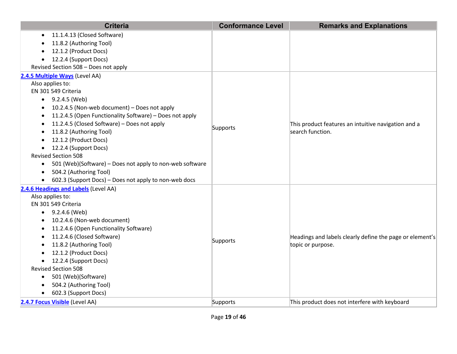| <b>Criteria</b>                                                       | <b>Conformance Level</b> | <b>Remarks and Explanations</b>                                         |
|-----------------------------------------------------------------------|--------------------------|-------------------------------------------------------------------------|
| 11.1.4.13 (Closed Software)<br>$\bullet$                              |                          |                                                                         |
| 11.8.2 (Authoring Tool)                                               |                          |                                                                         |
| 12.1.2 (Product Docs)                                                 |                          |                                                                         |
| 12.2.4 (Support Docs)<br>$\bullet$                                    |                          |                                                                         |
| Revised Section 508 - Does not apply                                  |                          |                                                                         |
| 2.4.5 Multiple Ways (Level AA)                                        |                          |                                                                         |
| Also applies to:                                                      |                          |                                                                         |
| EN 301 549 Criteria                                                   |                          |                                                                         |
| $\bullet$ 9.2.4.5 (Web)                                               |                          |                                                                         |
| 10.2.4.5 (Non-web document) - Does not apply                          |                          |                                                                         |
| 11.2.4.5 (Open Functionality Software) - Does not apply               |                          |                                                                         |
| 11.2.4.5 (Closed Software) - Does not apply                           |                          | This product features an intuitive navigation and a<br>search function. |
| 11.8.2 (Authoring Tool)                                               | Supports                 |                                                                         |
| 12.1.2 (Product Docs)                                                 |                          |                                                                         |
| 12.2.4 (Support Docs)<br>$\bullet$                                    |                          |                                                                         |
| <b>Revised Section 508</b>                                            |                          |                                                                         |
| 501 (Web)(Software) – Does not apply to non-web software<br>$\bullet$ |                          |                                                                         |
| 504.2 (Authoring Tool)<br>$\bullet$                                   |                          |                                                                         |
| 602.3 (Support Docs) - Does not apply to non-web docs<br>$\bullet$    |                          |                                                                         |
| 2.4.6 Headings and Labels (Level AA)                                  |                          |                                                                         |
| Also applies to:                                                      |                          |                                                                         |
| EN 301 549 Criteria                                                   |                          |                                                                         |
| $\bullet$ 9.2.4.6 (Web)                                               |                          |                                                                         |
| 10.2.4.6 (Non-web document)                                           |                          |                                                                         |
| 11.2.4.6 (Open Functionality Software)<br>$\bullet$                   |                          |                                                                         |
| 11.2.4.6 (Closed Software)                                            |                          | Headings and labels clearly define the page or element's                |
| 11.8.2 (Authoring Tool)                                               | Supports                 | topic or purpose.                                                       |
| 12.1.2 (Product Docs)                                                 |                          |                                                                         |
| 12.2.4 (Support Docs)                                                 |                          |                                                                         |
| <b>Revised Section 508</b>                                            |                          |                                                                         |
| 501 (Web)(Software)<br>٠                                              |                          |                                                                         |
| 504.2 (Authoring Tool)                                                |                          |                                                                         |
| 602.3 (Support Docs)<br>$\bullet$                                     |                          |                                                                         |
| 2.4.7 Focus Visible (Level AA)                                        | Supports                 | This product does not interfere with keyboard                           |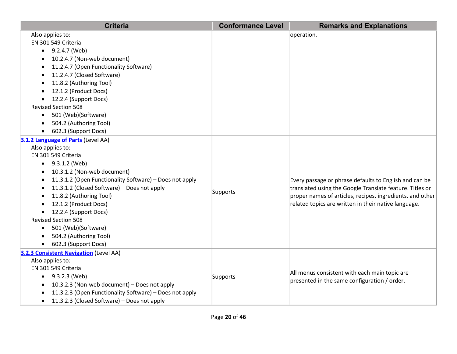| <b>Criteria</b>                                           | <b>Conformance Level</b> | <b>Remarks and Explanations</b>                           |
|-----------------------------------------------------------|--------------------------|-----------------------------------------------------------|
| Also applies to:                                          |                          | operation.                                                |
| EN 301 549 Criteria                                       |                          |                                                           |
| 9.2.4.7 (Web)<br>$\bullet$                                |                          |                                                           |
| 10.2.4.7 (Non-web document)                               |                          |                                                           |
| 11.2.4.7 (Open Functionality Software)                    |                          |                                                           |
| 11.2.4.7 (Closed Software)                                |                          |                                                           |
| 11.8.2 (Authoring Tool)                                   |                          |                                                           |
| 12.1.2 (Product Docs)                                     |                          |                                                           |
| 12.2.4 (Support Docs)                                     |                          |                                                           |
| <b>Revised Section 508</b>                                |                          |                                                           |
| 501 (Web)(Software)                                       |                          |                                                           |
| 504.2 (Authoring Tool)                                    |                          |                                                           |
| 602.3 (Support Docs)                                      |                          |                                                           |
| 3.1.2 Language of Parts (Level AA)                        |                          |                                                           |
| Also applies to:                                          |                          |                                                           |
| EN 301 549 Criteria                                       |                          |                                                           |
| $\bullet$ 9.3.1.2 (Web)                                   |                          |                                                           |
| 10.3.1.2 (Non-web document)                               |                          |                                                           |
| 11.3.1.2 (Open Functionality Software) - Does not apply   |                          | Every passage or phrase defaults to English and can be    |
| 11.3.1.2 (Closed Software) - Does not apply               | Supports                 | translated using the Google Translate feature. Titles or  |
| 11.8.2 (Authoring Tool)                                   |                          | proper names of articles, recipes, ingredients, and other |
| 12.1.2 (Product Docs)                                     |                          | related topics are written in their native language.      |
| 12.2.4 (Support Docs)<br>$\bullet$                        |                          |                                                           |
| <b>Revised Section 508</b>                                |                          |                                                           |
| 501 (Web)(Software)<br>$\bullet$                          |                          |                                                           |
| 504.2 (Authoring Tool)                                    |                          |                                                           |
| 602.3 (Support Docs)                                      |                          |                                                           |
| 3.2.3 Consistent Navigation (Level AA)                    |                          |                                                           |
| Also applies to:                                          |                          |                                                           |
| EN 301 549 Criteria                                       |                          | All menus consistent with each main topic are             |
| $\bullet$ 9.3.2.3 (Web)                                   | Supports                 | presented in the same configuration / order.              |
| 10.3.2.3 (Non-web document) - Does not apply<br>$\bullet$ |                          |                                                           |
| 11.3.2.3 (Open Functionality Software) - Does not apply   |                          |                                                           |
| 11.3.2.3 (Closed Software) - Does not apply<br>٠          |                          |                                                           |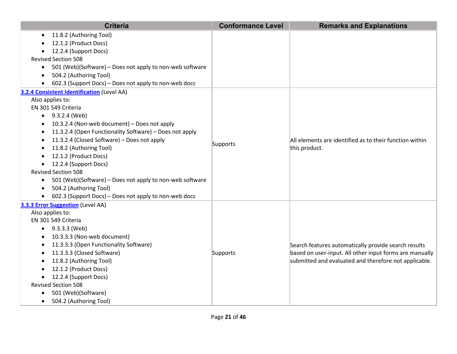| <b>Criteria</b>                                                       | <b>Conformance Level</b> | <b>Remarks and Explanations</b>                         |
|-----------------------------------------------------------------------|--------------------------|---------------------------------------------------------|
| 11.8.2 (Authoring Tool)                                               |                          |                                                         |
| 12.1.2 (Product Docs)                                                 |                          |                                                         |
| 12.2.4 (Support Docs)                                                 |                          |                                                         |
| <b>Revised Section 508</b>                                            |                          |                                                         |
| 501 (Web)(Software) - Does not apply to non-web software<br>$\bullet$ |                          |                                                         |
| 504.2 (Authoring Tool)<br>$\bullet$                                   |                          |                                                         |
| 602.3 (Support Docs) - Does not apply to non-web docs                 |                          |                                                         |
| 3.2.4 Consistent Identification (Level AA)                            |                          |                                                         |
| Also applies to:                                                      |                          |                                                         |
| EN 301 549 Criteria                                                   |                          |                                                         |
| $\bullet$ 9.3.2.4 (Web)                                               |                          |                                                         |
| 10.3.2.4 (Non-web document) - Does not apply                          |                          |                                                         |
| 11.3.2.4 (Open Functionality Software) - Does not apply               |                          |                                                         |
| 11.3.2.4 (Closed Software) - Does not apply<br>٠                      | Supports                 | All elements are identified as to their function within |
| 11.8.2 (Authoring Tool)                                               |                          | this product.                                           |
| 12.1.2 (Product Docs)                                                 |                          |                                                         |
| 12.2.4 (Support Docs)                                                 |                          |                                                         |
| <b>Revised Section 508</b>                                            |                          |                                                         |
| 501 (Web)(Software) - Does not apply to non-web software<br>$\bullet$ |                          |                                                         |
| 504.2 (Authoring Tool)                                                |                          |                                                         |
| 602.3 (Support Docs) - Does not apply to non-web docs                 |                          |                                                         |
| 3.3.3 Error Suggestion (Level AA)<br>Also applies to:                 |                          |                                                         |
| EN 301 549 Criteria                                                   |                          |                                                         |
| $-9.3.3.3$ (Web)                                                      |                          |                                                         |
| 10.3.3.3 (Non-web document)                                           |                          |                                                         |
| 11.3.3.3 (Open Functionality Software)                                |                          | Search features automatically provide search results    |
| 11.3.3.3 (Closed Software)                                            | Supports                 | based on user-input. All other input forms are manually |
| 11.8.2 (Authoring Tool)                                               |                          | submitted and evaluated and therefore not applicable.   |
| 12.1.2 (Product Docs)                                                 |                          |                                                         |
| 12.2.4 (Support Docs)<br>$\bullet$                                    |                          |                                                         |
| <b>Revised Section 508</b>                                            |                          |                                                         |
| 501 (Web)(Software)                                                   |                          |                                                         |
| 504.2 (Authoring Tool)<br>$\bullet$                                   |                          |                                                         |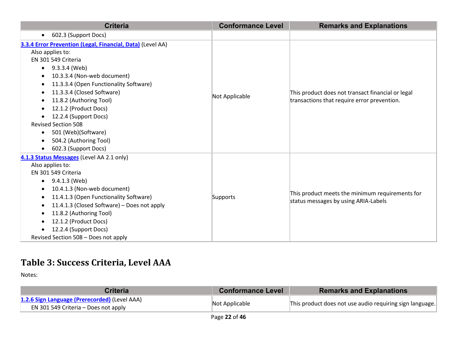| <b>Criteria</b>                                            | <b>Conformance Level</b> | <b>Remarks and Explanations</b>                                                         |
|------------------------------------------------------------|--------------------------|-----------------------------------------------------------------------------------------|
| 602.3 (Support Docs)<br>$\bullet$                          |                          |                                                                                         |
| 3.3.4 Error Prevention (Legal, Financial, Data) (Level AA) |                          |                                                                                         |
| Also applies to:                                           |                          |                                                                                         |
| EN 301 549 Criteria                                        |                          |                                                                                         |
| 9.3.3.4 (Web)<br>$\bullet$                                 |                          |                                                                                         |
| 10.3.3.4 (Non-web document)                                |                          |                                                                                         |
| 11.3.3.4 (Open Functionality Software)<br>$\bullet$        |                          |                                                                                         |
| 11.3.3.4 (Closed Software)<br>$\bullet$                    |                          | This product does not transact financial or legal                                       |
| 11.8.2 (Authoring Tool)                                    | Not Applicable           | transactions that require error prevention.                                             |
| 12.1.2 (Product Docs)                                      |                          |                                                                                         |
| 12.2.4 (Support Docs)<br>$\bullet$                         |                          |                                                                                         |
| <b>Revised Section 508</b>                                 |                          |                                                                                         |
| 501 (Web)(Software)<br>$\bullet$                           |                          |                                                                                         |
| 504.2 (Authoring Tool)                                     |                          |                                                                                         |
| 602.3 (Support Docs)<br>$\bullet$                          |                          |                                                                                         |
| 4.1.3 Status Messages (Level AA 2.1 only)                  |                          | This product meets the minimum requirements for<br>status messages by using ARIA-Labels |
| Also applies to:                                           |                          |                                                                                         |
| EN 301 549 Criteria                                        |                          |                                                                                         |
| 9.4.1.3 (Web)<br>$\bullet$                                 |                          |                                                                                         |
| 10.4.1.3 (Non-web document)                                |                          |                                                                                         |
| 11.4.1.3 (Open Functionality Software)                     | Supports                 |                                                                                         |
| 11.4.1.3 (Closed Software) - Does not apply                |                          |                                                                                         |
| 11.8.2 (Authoring Tool)<br>$\bullet$                       |                          |                                                                                         |
| 12.1.2 (Product Docs)                                      |                          |                                                                                         |
| 12.2.4 (Support Docs)                                      |                          |                                                                                         |
| Revised Section 508 - Does not apply                       |                          |                                                                                         |

## **Table 3: Success Criteria, Level AAA**

| <b>Criteria</b>                                                                       | <b>Conformance Level</b> | <b>Remarks and Explanations</b>                          |
|---------------------------------------------------------------------------------------|--------------------------|----------------------------------------------------------|
| 1.2.6 Sign Language (Prerecorded) (Level AAA)<br>EN 301 549 Criteria – Does not apply | Not Applicable           | This product does not use audio requiring sign language. |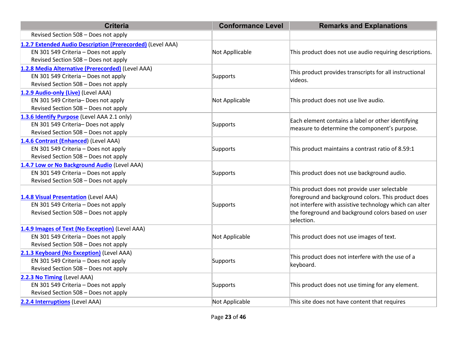| <b>Criteria</b>                                                                                                                            | <b>Conformance Level</b> | <b>Remarks and Explanations</b>                                                                                                                                                                                                     |
|--------------------------------------------------------------------------------------------------------------------------------------------|--------------------------|-------------------------------------------------------------------------------------------------------------------------------------------------------------------------------------------------------------------------------------|
| Revised Section 508 - Does not apply                                                                                                       |                          |                                                                                                                                                                                                                                     |
| 1.2.7 Extended Audio Description (Prerecorded) (Level AAA)<br>EN 301 549 Criteria - Does not apply<br>Revised Section 508 - Does not apply | Not Appllicable          | This product does not use audio requiring descriptions.                                                                                                                                                                             |
| 1.2.8 Media Alternative (Prerecorded) (Level AAA)<br>EN 301 549 Criteria - Does not apply<br>Revised Section 508 - Does not apply          | Supports                 | This product provides transcripts for all instructional<br>videos.                                                                                                                                                                  |
| 1.2.9 Audio-only (Live) (Level AAA)<br>EN 301 549 Criteria- Does not apply<br>Revised Section 508 - Does not apply                         | Not Applicable           | This product does not use live audio.                                                                                                                                                                                               |
| 1.3.6 Identify Purpose (Level AAA 2.1 only)<br>EN 301 549 Criteria-Does not apply<br>Revised Section 508 - Does not apply                  | Supports                 | Each element contains a label or other identifying<br>measure to determine the component's purpose.                                                                                                                                 |
| 1.4.6 Contrast (Enhanced) (Level AAA)<br>EN 301 549 Criteria - Does not apply<br>Revised Section 508 - Does not apply                      | Supports                 | This product maintains a contrast ratio of 8.59:1                                                                                                                                                                                   |
| 1.4.7 Low or No Background Audio (Level AAA)<br>EN 301 549 Criteria - Does not apply<br>Revised Section 508 - Does not apply               | Supports                 | This product does not use background audio.                                                                                                                                                                                         |
| 1.4.8 Visual Presentation (Level AAA)<br>EN 301 549 Criteria - Does not apply<br>Revised Section 508 - Does not apply                      | Supports                 | This product does not provide user selectable<br>foreground and background colors. This product does<br>not interfere with assistive technology which can alter<br>the foreground and background colors based on user<br>selection. |
| 1.4.9 Images of Text (No Exception) (Level AAA)<br>EN 301 549 Criteria - Does not apply<br>Revised Section 508 - Does not apply            | Not Applicable           | This product does not use images of text.                                                                                                                                                                                           |
| 2.1.3 Keyboard (No Exception) (Level AAA)<br>EN 301 549 Criteria - Does not apply<br>Revised Section 508 - Does not apply                  | Supports                 | This product does not interfere with the use of a<br>keyboard.                                                                                                                                                                      |
| 2.2.3 No Timing (Level AAA)<br>EN 301 549 Criteria - Does not apply<br>Revised Section 508 - Does not apply                                | Supports                 | This product does not use timing for any element.                                                                                                                                                                                   |
| 2.2.4 Interruptions (Level AAA)                                                                                                            | Not Applicable           | This site does not have content that requires                                                                                                                                                                                       |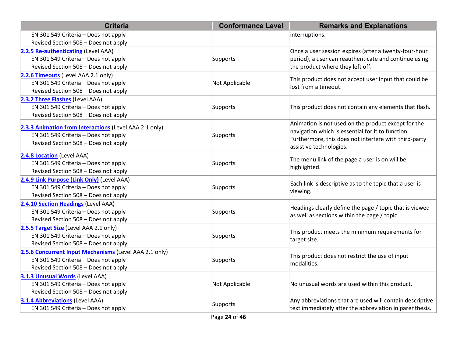| <b>Criteria</b>                                        | <b>Conformance Level</b> | <b>Remarks and Explanations</b>                          |  |
|--------------------------------------------------------|--------------------------|----------------------------------------------------------|--|
| EN 301 549 Criteria - Does not apply                   |                          | interruptions.                                           |  |
| Revised Section 508 - Does not apply                   |                          |                                                          |  |
| 2.2.5 Re-authenticating (Level AAA)                    |                          | Once a user session expires (after a twenty-four-hour    |  |
| EN 301 549 Criteria - Does not apply                   | Supports                 | period), a user can reauthenticate and continue using    |  |
| Revised Section 508 - Does not apply                   |                          | the product where they left off.                         |  |
| 2.2.6 Timeouts (Level AAA 2.1 only)                    |                          | This product does not accept user input that could be    |  |
| EN 301 549 Criteria - Does not apply                   | Not Applicable           | lost from a timeout.                                     |  |
| Revised Section 508 - Does not apply                   |                          |                                                          |  |
| 2.3.2 Three Flashes (Level AAA)                        |                          |                                                          |  |
| EN 301 549 Criteria - Does not apply                   | Supports                 | This product does not contain any elements that flash.   |  |
| Revised Section 508 - Does not apply                   |                          |                                                          |  |
| 2.3.3 Animation from Interactions (Level AAA 2.1 only) |                          | Animation is not used on the product except for the      |  |
| EN 301 549 Criteria - Does not apply                   | Supports                 | navigation which is essential for it to function.        |  |
| Revised Section 508 - Does not apply                   |                          | Furthermore, this does not interfere with third-party    |  |
|                                                        |                          | assistive technologies.                                  |  |
| 2.4.8 Location (Level AAA)                             |                          | The menu link of the page a user is on will be           |  |
| EN 301 549 Criteria - Does not apply                   | Supports                 | highlighted.                                             |  |
| Revised Section 508 - Does not apply                   |                          |                                                          |  |
| 2.4.9 Link Purpose (Link Only) (Level AAA)             |                          | Each link is descriptive as to the topic that a user is  |  |
| EN 301 549 Criteria - Does not apply                   | Supports                 | viewing.                                                 |  |
| Revised Section 508 - Does not apply                   |                          |                                                          |  |
| 2.4.10 Section Headings (Level AAA)                    |                          | Headings clearly define the page / topic that is viewed  |  |
| EN 301 549 Criteria - Does not apply                   | Supports                 | as well as sections within the page / topic.             |  |
| Revised Section 508 - Does not apply                   |                          |                                                          |  |
| 2.5.5 Target Size (Level AAA 2.1 only)                 |                          | This product meets the minimum requirements for          |  |
| EN 301 549 Criteria - Does not apply                   | Supports                 | target size.                                             |  |
| Revised Section 508 - Does not apply                   |                          |                                                          |  |
| 2.5.6 Concurrent Input Mechanisms (Level AAA 2.1 only) |                          | This product does not restrict the use of input          |  |
| EN 301 549 Criteria - Does not apply                   | Supports                 | modalities.                                              |  |
| Revised Section 508 - Does not apply                   |                          |                                                          |  |
| 3.1.3 Unusual Words (Level AAA)                        |                          |                                                          |  |
| EN 301 549 Criteria - Does not apply                   | Not Applicable           | No unusual words are used within this product.           |  |
| Revised Section 508 - Does not apply                   |                          |                                                          |  |
| <b>3.1.4 Abbreviations (Level AAA)</b>                 | Supports                 | Any abbreviations that are used will contain descriptive |  |
| EN 301 549 Criteria - Does not apply                   |                          | text immediately after the abbreviation in parenthesis.  |  |
|                                                        | Page 24 of 46            |                                                          |  |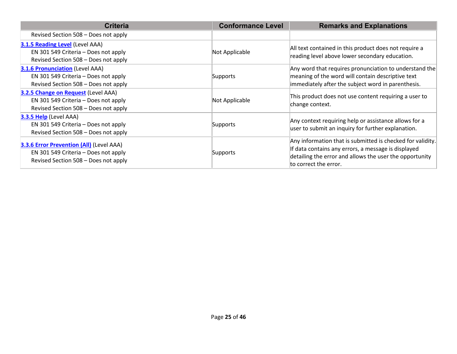| <b>Criteria</b>                                                                                                                 | <b>Conformance Level</b> | <b>Remarks and Explanations</b>                                                                                                                                                                       |
|---------------------------------------------------------------------------------------------------------------------------------|--------------------------|-------------------------------------------------------------------------------------------------------------------------------------------------------------------------------------------------------|
| Revised Section 508 – Does not apply                                                                                            |                          |                                                                                                                                                                                                       |
| 3.1.5 Reading Level (Level AAA)<br>EN 301 549 Criteria - Does not apply<br>Revised Section 508 - Does not apply                 | Not Applicable           | All text contained in this product does not require a<br>reading level above lower secondary education.                                                                                               |
| <b>3.1.6 Pronunciation (Level AAA)</b><br>EN 301 549 Criteria - Does not apply<br>Revised Section 508 - Does not apply          | Supports                 | Any word that requires pronunciation to understand the<br>meaning of the word will contain descriptive text<br>immediately after the subject word in parenthesis.                                     |
| 3.2.5 Change on Request (Level AAA)<br>EN 301 549 Criteria - Does not apply<br>Revised Section 508 - Does not apply             | Not Applicable           | This product does not use content requiring a user to<br>change context.                                                                                                                              |
| <b>3.3.5 Help</b> (Level AAA)<br>EN 301 549 Criteria - Does not apply<br>Revised Section 508 - Does not apply                   | Supports                 | Any context requiring help or assistance allows for a<br>user to submit an inquiry for further explanation.                                                                                           |
| <b>3.3.6 Error Prevention (All)</b> (Level AAA)<br>EN 301 549 Criteria - Does not apply<br>Revised Section 508 - Does not apply | Supports                 | Any information that is submitted is checked for validity.<br>If data contains any errors, a message is displayed<br>detailing the error and allows the user the opportunity<br>to correct the error. |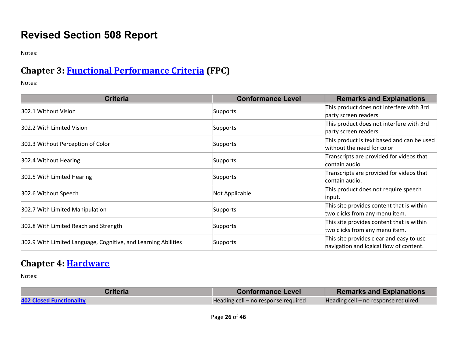# **Revised Section 508 Report**

Notes:

# **Chapter 3: [Functional Performance Criteria](https://www.access-board.gov/guidelines-and-standards/communications-and-it/about-the-ict-refresh/final-rule/text-of-the-standards-and-guidelines#302-functional-performance-criteria) (FPC)**

Notes:

| <b>Criteria</b>                                                | <b>Conformance Level</b> | <b>Remarks and Explanations</b>                                                     |
|----------------------------------------------------------------|--------------------------|-------------------------------------------------------------------------------------|
| 302.1 Without Vision                                           | Supports                 | This product does not interfere with 3rd<br>party screen readers.                   |
| 302.2 With Limited Vision                                      | Supports                 | This product does not interfere with 3rd<br>party screen readers.                   |
| 302.3 Without Perception of Color                              | Supports                 | This product is text based and can be used<br>without the need for color            |
| 302.4 Without Hearing                                          | Supports                 | Transcripts are provided for videos that<br>contain audio.                          |
| 302.5 With Limited Hearing                                     | Supports                 | Transcripts are provided for videos that<br>contain audio.                          |
| 302.6 Without Speech                                           | Not Applicable           | This product does not require speech<br>input.                                      |
| 302.7 With Limited Manipulation                                | Supports                 | This site provides content that is within<br>two clicks from any menu item.         |
| 302.8 With Limited Reach and Strength                          | Supports                 | This site provides content that is within<br>two clicks from any menu item.         |
| 302.9 With Limited Language, Cognitive, and Learning Abilities | Supports                 | This site provides clear and easy to use<br>navigation and logical flow of content. |

#### **Chapter 4: [Hardware](https://www.access-board.gov/guidelines-and-standards/communications-and-it/about-the-ict-refresh/final-rule/text-of-the-standards-and-guidelines#401-general)**

| Criteria                        | <b>Conformance Level</b>            | <b>Remarks and Explanations</b>     |
|---------------------------------|-------------------------------------|-------------------------------------|
| <b>402 Closed Functionality</b> | Heading cell – no response required | Heading cell – no response required |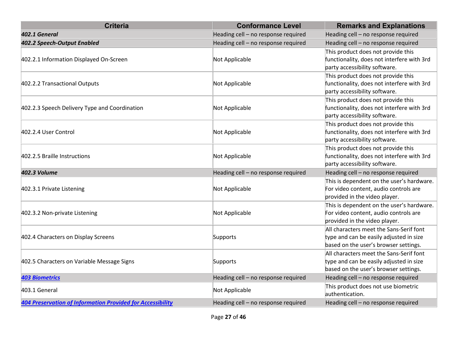| <b>Criteria</b>                                                   | <b>Conformance Level</b>            | <b>Remarks and Explanations</b>                                                                                             |
|-------------------------------------------------------------------|-------------------------------------|-----------------------------------------------------------------------------------------------------------------------------|
| 402.1 General                                                     | Heading cell - no response required | Heading cell - no response required                                                                                         |
| 402.2 Speech-Output Enabled                                       | Heading cell - no response required | Heading cell - no response required                                                                                         |
| 402.2.1 Information Displayed On-Screen                           | Not Applicable                      | This product does not provide this<br>functionality, does not interfere with 3rd<br>party accessibility software.           |
| 402.2.2 Transactional Outputs                                     | Not Applicable                      | This product does not provide this<br>functionality, does not interfere with 3rd<br>party accessibility software.           |
| 402.2.3 Speech Delivery Type and Coordination                     | Not Applicable                      | This product does not provide this<br>functionality, does not interfere with 3rd<br>party accessibility software.           |
| 402.2.4 User Control                                              | Not Applicable                      | This product does not provide this<br>functionality, does not interfere with 3rd<br>party accessibility software.           |
| 402.2.5 Braille Instructions                                      | Not Applicable                      | This product does not provide this<br>functionality, does not interfere with 3rd<br>party accessibility software.           |
| <b>402.3 Volume</b>                                               | Heading cell - no response required | Heading cell - no response required                                                                                         |
| 402.3.1 Private Listening                                         | Not Applicable                      | This is dependent on the user's hardware.<br>For video content, audio controls are<br>provided in the video player.         |
| 402.3.2 Non-private Listening                                     | Not Applicable                      | This is dependent on the user's hardware.<br>For video content, audio controls are<br>provided in the video player.         |
| 402.4 Characters on Display Screens                               | Supports                            | All characters meet the Sans-Serif font<br>type and can be easily adjusted in size<br>based on the user's browser settings. |
| 402.5 Characters on Variable Message Signs                        | Supports                            | All characters meet the Sans-Serif font<br>type and can be easily adjusted in size<br>based on the user's browser settings. |
| <b>403 Biometrics</b>                                             | Heading cell - no response required | Heading cell - no response required                                                                                         |
| 403.1 General                                                     | Not Applicable                      | This product does not use biometric<br>authentication.                                                                      |
| <b>404 Preservation of Information Provided for Accessibility</b> | Heading cell - no response required | Heading cell - no response required                                                                                         |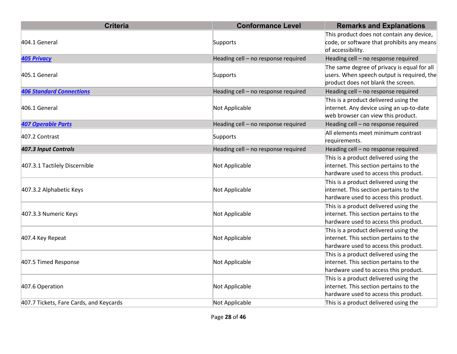| <b>Criteria</b>                         | <b>Conformance Level</b>            | <b>Remarks and Explanations</b>                                                                                                 |
|-----------------------------------------|-------------------------------------|---------------------------------------------------------------------------------------------------------------------------------|
| 404.1 General                           | Supports                            | This product does not contain any device,<br>code, or software that prohibits any means<br>of accessibility.                    |
| <b>405 Privacy</b>                      | Heading cell - no response required | Heading cell - no response required                                                                                             |
| 405.1 General                           | Supports                            | The same degree of privacy is equal for all<br>users. When speech output is required, the<br>product does not blank the screen. |
| <b>406 Standard Connections</b>         | Heading cell - no response required | Heading cell - no response required                                                                                             |
| 406.1 General                           | Not Applicable                      | This is a product delivered using the<br>internet. Any device using an up-to-date<br>web browser can view this product.         |
| <b>407 Operable Parts</b>               | Heading cell - no response required | Heading cell - no response required                                                                                             |
| 407.2 Contrast                          | Supports                            | All elements meet minimum contrast<br>requirements.                                                                             |
| 407.3 Input Controls                    | Heading cell - no response required | Heading cell - no response required                                                                                             |
| 407.3.1 Tactilely Discernible           | Not Applicable                      | This is a product delivered using the<br>internet. This section pertains to the<br>hardware used to access this product.        |
| 407.3.2 Alphabetic Keys                 | Not Applicable                      | This is a product delivered using the<br>internet. This section pertains to the<br>hardware used to access this product.        |
| 407.3.3 Numeric Keys                    | Not Applicable                      | This is a product delivered using the<br>internet. This section pertains to the<br>hardware used to access this product.        |
| 407.4 Key Repeat                        | Not Applicable                      | This is a product delivered using the<br>internet. This section pertains to the<br>hardware used to access this product.        |
| 407.5 Timed Response                    | Not Applicable                      | This is a product delivered using the<br>internet. This section pertains to the<br>hardware used to access this product.        |
| 407.6 Operation                         | Not Applicable                      | This is a product delivered using the<br>internet. This section pertains to the<br>hardware used to access this product.        |
| 407.7 Tickets, Fare Cards, and Keycards | Not Applicable                      | This is a product delivered using the                                                                                           |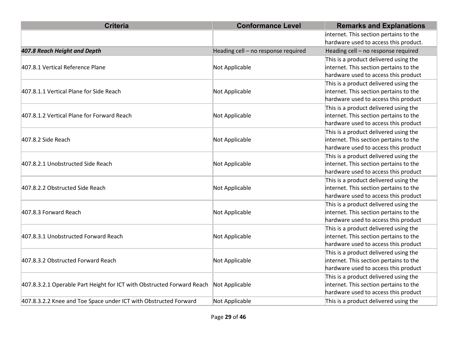| <b>Criteria</b>                                                        | <b>Conformance Level</b>            | <b>Remarks and Explanations</b>        |
|------------------------------------------------------------------------|-------------------------------------|----------------------------------------|
|                                                                        |                                     | internet. This section pertains to the |
|                                                                        |                                     | hardware used to access this product.  |
| 407.8 Reach Height and Depth                                           | Heading cell - no response required | Heading cell - no response required    |
|                                                                        |                                     | This is a product delivered using the  |
| 407.8.1 Vertical Reference Plane                                       | Not Applicable                      | internet. This section pertains to the |
|                                                                        |                                     | hardware used to access this product   |
|                                                                        |                                     | This is a product delivered using the  |
| 407.8.1.1 Vertical Plane for Side Reach                                | Not Applicable                      | internet. This section pertains to the |
|                                                                        |                                     | hardware used to access this product   |
|                                                                        |                                     | This is a product delivered using the  |
| 407.8.1.2 Vertical Plane for Forward Reach                             | Not Applicable                      | internet. This section pertains to the |
|                                                                        |                                     | hardware used to access this product   |
|                                                                        |                                     | This is a product delivered using the  |
| 407.8.2 Side Reach                                                     | Not Applicable                      | internet. This section pertains to the |
|                                                                        |                                     | hardware used to access this product   |
|                                                                        |                                     | This is a product delivered using the  |
| 407.8.2.1 Unobstructed Side Reach                                      | Not Applicable                      | internet. This section pertains to the |
|                                                                        |                                     | hardware used to access this product   |
|                                                                        |                                     | This is a product delivered using the  |
| 407.8.2.2 Obstructed Side Reach                                        | Not Applicable                      | internet. This section pertains to the |
|                                                                        |                                     | hardware used to access this product   |
|                                                                        |                                     | This is a product delivered using the  |
| 407.8.3 Forward Reach                                                  | Not Applicable                      | internet. This section pertains to the |
|                                                                        |                                     | hardware used to access this product   |
|                                                                        |                                     | This is a product delivered using the  |
| 407.8.3.1 Unobstructed Forward Reach                                   | Not Applicable                      | internet. This section pertains to the |
|                                                                        |                                     | hardware used to access this product   |
|                                                                        |                                     | This is a product delivered using the  |
| 407.8.3.2 Obstructed Forward Reach                                     | Not Applicable                      | internet. This section pertains to the |
|                                                                        |                                     | hardware used to access this product   |
|                                                                        |                                     | This is a product delivered using the  |
| 407.8.3.2.1 Operable Part Height for ICT with Obstructed Forward Reach | Not Applicable                      | internet. This section pertains to the |
|                                                                        |                                     | hardware used to access this product   |
| 407.8.3.2.2 Knee and Toe Space under ICT with Obstructed Forward       | Not Applicable                      | This is a product delivered using the  |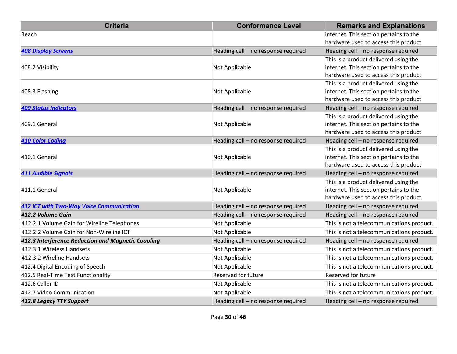| <b>Criteria</b>                                    | <b>Conformance Level</b>            | <b>Remarks and Explanations</b>           |
|----------------------------------------------------|-------------------------------------|-------------------------------------------|
| Reach                                              |                                     | internet. This section pertains to the    |
|                                                    |                                     | hardware used to access this product      |
| <b>408 Display Screens</b>                         | Heading cell - no response required | Heading cell - no response required       |
|                                                    |                                     | This is a product delivered using the     |
| 408.2 Visibility                                   | Not Applicable                      | internet. This section pertains to the    |
|                                                    |                                     | hardware used to access this product      |
|                                                    |                                     | This is a product delivered using the     |
| 408.3 Flashing                                     | Not Applicable                      | internet. This section pertains to the    |
|                                                    |                                     | hardware used to access this product      |
| <b>409 Status Indicators</b>                       | Heading cell - no response required | Heading cell - no response required       |
|                                                    |                                     | This is a product delivered using the     |
| 409.1 General                                      | Not Applicable                      | internet. This section pertains to the    |
|                                                    |                                     | hardware used to access this product      |
| <b>410 Color Coding</b>                            | Heading cell - no response required | Heading cell - no response required       |
|                                                    |                                     | This is a product delivered using the     |
| 410.1 General                                      | Not Applicable                      | internet. This section pertains to the    |
|                                                    |                                     | hardware used to access this product      |
| <b>411 Audible Signals</b>                         | Heading cell - no response required | Heading cell - no response required       |
|                                                    |                                     | This is a product delivered using the     |
| 411.1 General                                      | Not Applicable                      | internet. This section pertains to the    |
|                                                    |                                     | hardware used to access this product      |
| <b>412 ICT with Two-Way Voice Communication</b>    | Heading cell - no response required | Heading cell - no response required       |
| 412.2 Volume Gain                                  | Heading cell - no response required | Heading cell - no response required       |
| 412.2.1 Volume Gain for Wireline Telephones        | Not Applicable                      | This is not a telecommunications product. |
| 412.2.2 Volume Gain for Non-Wireline ICT           | Not Applicable                      | This is not a telecommunications product. |
| 412.3 Interference Reduction and Magnetic Coupling | Heading cell - no response required | Heading cell - no response required       |
| 412.3.1 Wireless Handsets                          | Not Applicable                      | This is not a telecommunications product. |
| 412.3.2 Wireline Handsets                          | Not Applicable                      | This is not a telecommunications product. |
| 412.4 Digital Encoding of Speech                   | Not Applicable                      | This is not a telecommunications product. |
| 412.5 Real-Time Text Functionality                 | <b>Reserved for future</b>          | <b>Reserved for future</b>                |
| 412.6 Caller ID                                    | Not Applicable                      | This is not a telecommunications product. |
| 412.7 Video Communication                          | Not Applicable                      | This is not a telecommunications product. |
| 412.8 Legacy TTY Support                           | Heading cell - no response required | Heading cell - no response required       |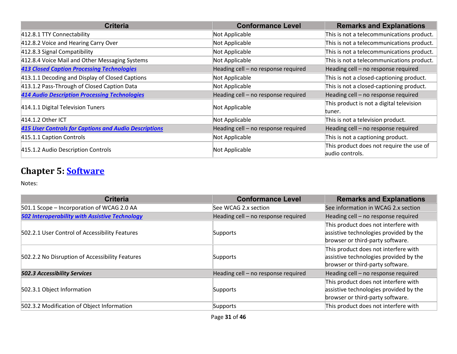| <b>Criteria</b>                                              | <b>Conformance Level</b>            | <b>Remarks and Explanations</b>           |
|--------------------------------------------------------------|-------------------------------------|-------------------------------------------|
| 412.8.1 TTY Connectability                                   | Not Applicable                      | This is not a telecommunications product. |
| 412.8.2 Voice and Hearing Carry Over                         | Not Applicable                      | This is not a telecommunications product. |
| 412.8.3 Signal Compatibility                                 | Not Applicable                      | This is not a telecommunications product. |
| 412.8.4 Voice Mail and Other Messaging Systems               | Not Applicable                      | This is not a telecommunications product. |
| <b>413 Closed Caption Processing Technologies</b>            | Heading cell - no response required | Heading cell - no response required       |
| 413.1.1 Decoding and Display of Closed Captions              | Not Applicable                      | This is not a closed-captioning product.  |
| 413.1.2 Pass-Through of Closed Caption Data                  | Not Applicable                      | This is not a closed-captioning product.  |
| <b>414 Audio Description Processing Technologies</b>         | Heading cell - no response required | Heading cell - no response required       |
| 414.1.1 Digital Television Tuners                            |                                     | This product is not a digital television  |
|                                                              | Not Applicable                      | tuner.                                    |
| 414.1.2 Other ICT                                            | Not Applicable                      | This is not a television product.         |
| <b>415 User Controls for Captions and Audio Descriptions</b> | Heading cell - no response required | Heading cell - no response required       |
| 415.1.1 Caption Controls                                     | Not Applicable                      | This is not a captioning product.         |
|                                                              |                                     | This product does not require the use of  |
| 415.1.2 Audio Description Controls                           | Not Applicable                      | laudio controls.                          |

# **Chapter 5: [Software](https://www.access-board.gov/guidelines-and-standards/communications-and-it/about-the-ict-refresh/final-rule/text-of-the-standards-and-guidelines#501-general)**

| <b>Criteria</b>                                       | <b>Conformance Level</b>            | <b>Remarks and Explanations</b>                                                                                    |
|-------------------------------------------------------|-------------------------------------|--------------------------------------------------------------------------------------------------------------------|
| 501.1 Scope - Incorporation of WCAG 2.0 AA            | See WCAG 2.x section                | See information in WCAG 2.x section                                                                                |
| <b>502 Interoperability with Assistive Technology</b> | Heading cell - no response required | Heading cell - no response required                                                                                |
| 502.2.1 User Control of Accessibility Features        | Supports                            | This product does not interfere with<br>assistive technologies provided by the<br>browser or third-party software. |
| 502.2.2 No Disruption of Accessibility Features       | Supports                            | This product does not interfere with<br>assistive technologies provided by the<br>browser or third-party software. |
| <b>502.3 Accessibility Services</b>                   | Heading cell - no response required | Heading cell - no response required                                                                                |
| 502.3.1 Object Information                            | Supports                            | This product does not interfere with<br>assistive technologies provided by the<br>browser or third-party software. |
| 502.3.2 Modification of Object Information            | Supports                            | This product does not interfere with                                                                               |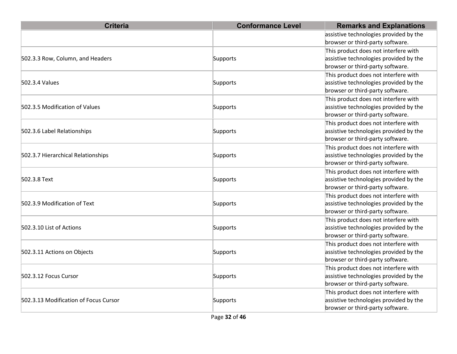| <b>Criteria</b>                       | <b>Conformance Level</b> | <b>Remarks and Explanations</b>                                                                                    |
|---------------------------------------|--------------------------|--------------------------------------------------------------------------------------------------------------------|
|                                       |                          | assistive technologies provided by the<br>browser or third-party software.                                         |
| 502.3.3 Row, Column, and Headers      | Supports                 | This product does not interfere with<br>assistive technologies provided by the<br>browser or third-party software. |
| 502.3.4 Values                        | Supports                 | This product does not interfere with<br>assistive technologies provided by the<br>browser or third-party software. |
| 502.3.5 Modification of Values        | Supports                 | This product does not interfere with<br>assistive technologies provided by the<br>browser or third-party software. |
| 502.3.6 Label Relationships           | Supports                 | This product does not interfere with<br>assistive technologies provided by the<br>browser or third-party software. |
| 502.3.7 Hierarchical Relationships    | Supports                 | This product does not interfere with<br>assistive technologies provided by the<br>browser or third-party software. |
| 502.3.8 Text                          | Supports                 | This product does not interfere with<br>assistive technologies provided by the<br>browser or third-party software. |
| 502.3.9 Modification of Text          | Supports                 | This product does not interfere with<br>assistive technologies provided by the<br>browser or third-party software. |
| 502.3.10 List of Actions              | Supports                 | This product does not interfere with<br>assistive technologies provided by the<br>browser or third-party software. |
| 502.3.11 Actions on Objects           | Supports                 | This product does not interfere with<br>assistive technologies provided by the<br>browser or third-party software. |
| 502.3.12 Focus Cursor                 | Supports                 | This product does not interfere with<br>assistive technologies provided by the<br>browser or third-party software. |
| 502.3.13 Modification of Focus Cursor | Supports                 | This product does not interfere with<br>assistive technologies provided by the<br>browser or third-party software. |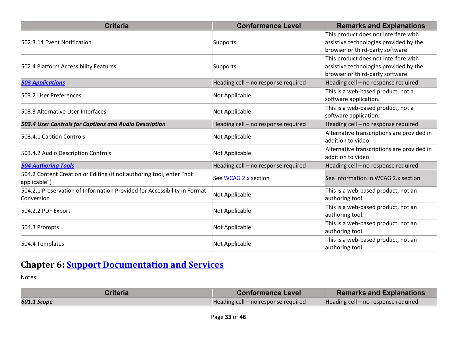| <b>Criteria</b>                                                                        | <b>Conformance Level</b>            | <b>Remarks and Explanations</b>                                                                                    |
|----------------------------------------------------------------------------------------|-------------------------------------|--------------------------------------------------------------------------------------------------------------------|
| 502.3.14 Event Notification                                                            | Supports                            | This product does not interfere with<br>assistive technologies provided by the<br>browser or third-party software. |
| 502.4 Platform Accessibility Features                                                  | Supports                            | This product does not interfere with<br>assistive technologies provided by the<br>browser or third-party software. |
| <b>503 Applications</b>                                                                | Heading cell - no response required | Heading cell - no response required                                                                                |
| 503.2 User Preferences                                                                 | Not Applicable                      | This is a web-based product, not a<br>software application.                                                        |
| 503.3 Alternative User Interfaces                                                      | Not Applicable                      | This is a web-based product, not a<br>software application.                                                        |
| 503.4 User Controls for Captions and Audio Description                                 | Heading cell - no response required | Heading cell - no response required                                                                                |
| 503.4.1 Caption Controls                                                               | Not Applicable                      | Alternative transcriptions are provided in<br>addition to video.                                                   |
| 503.4.2 Audio Description Controls                                                     | Not Applicable                      | Alternative transcriptions are provided in<br>addition to video.                                                   |
| <b>504 Authoring Tools</b>                                                             | Heading cell - no response required | Heading cell - no response required                                                                                |
| 504.2 Content Creation or Editing (if not authoring tool, enter "not<br>applicable")   | See WCAG 2.x section                | See information in WCAG 2.x section                                                                                |
| 504.2.1 Preservation of Information Provided for Accessibility in Format<br>Conversion | Not Applicable                      | This is a web-based product, not an<br>authoring tool.                                                             |
| 504.2.2 PDF Export                                                                     | Not Applicable                      | This is a web-based product, not an<br>authoring tool.                                                             |
| 504.3 Prompts                                                                          | Not Applicable                      | This is a web-based product, not an<br>authoring tool.                                                             |
| 504.4 Templates                                                                        | Not Applicable                      | This is a web-based product, not an<br>authoring tool.                                                             |

# **Chapter 6: [Support Documentation and Services](https://www.access-board.gov/guidelines-and-standards/communications-and-it/about-the-ict-refresh/final-rule/text-of-the-standards-and-guidelines#601-general)**

| Criteria    | <b>Conformance Level</b>            | <b>Remarks and Explanations</b>     |
|-------------|-------------------------------------|-------------------------------------|
| 601.1 Scope | Heading cell – no response required | Heading cell – no response required |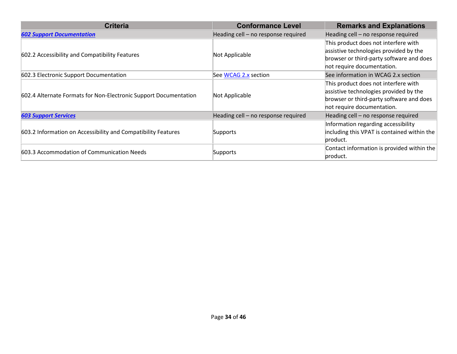| <b>Criteria</b>                                                  | <b>Conformance Level</b>            | <b>Remarks and Explanations</b>             |
|------------------------------------------------------------------|-------------------------------------|---------------------------------------------|
| <b>602 Support Documentation</b>                                 | Heading cell - no response required | Heading cell - no response required         |
|                                                                  | Not Applicable                      | This product does not interfere with        |
| 602.2 Accessibility and Compatibility Features                   |                                     | assistive technologies provided by the      |
|                                                                  |                                     | browser or third-party software and does    |
|                                                                  |                                     | not require documentation.                  |
| 602.3 Electronic Support Documentation                           | See WCAG 2.x section                | See information in WCAG 2.x section         |
|                                                                  | Not Applicable                      | This product does not interfere with        |
| 602.4 Alternate Formats for Non-Electronic Support Documentation |                                     | assistive technologies provided by the      |
|                                                                  |                                     | browser or third-party software and does    |
|                                                                  |                                     | not require documentation.                  |
| <b>603 Support Services</b>                                      | Heading cell - no response required | Heading cell - no response required         |
|                                                                  |                                     | Information regarding accessibility         |
| 603.2 Information on Accessibility and Compatibility Features    | Supports                            | including this VPAT is contained within the |
|                                                                  |                                     | product.                                    |
|                                                                  | Supports                            | Contact information is provided within the  |
| 603.3 Accommodation of Communication Needs                       |                                     | product.                                    |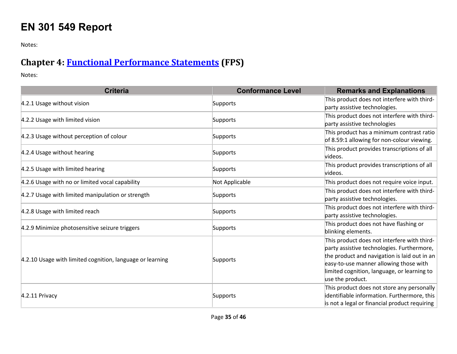# **EN 301 549 Report**

Notes:

## **Chapter 4: [Functional Performance Statements](https://www.etsi.org/deliver/etsi_en/301500_301599/301549/03.01.01_60/en_301549v030101p.pdf#%5B%7B%22num%22%3A38%2C%22gen%22%3A0%7D%2C%7B%22name%22%3A%22XYZ%22%7D%2C54%2C747%2C0%5D) (FPS)**

| <b>Criteria</b>                                           | <b>Conformance Level</b> | <b>Remarks and Explanations</b>                                                                                                                                                                                                                        |
|-----------------------------------------------------------|--------------------------|--------------------------------------------------------------------------------------------------------------------------------------------------------------------------------------------------------------------------------------------------------|
| 4.2.1 Usage without vision                                | Supports                 | This product does not interfere with third-<br>party assistive technologies.                                                                                                                                                                           |
| 4.2.2 Usage with limited vision                           | Supports                 | This product does not interfere with third-<br>party assistive technologies                                                                                                                                                                            |
| 4.2.3 Usage without perception of colour                  | Supports                 | This product has a minimum contrast ratio<br>of 8.59:1 allowing for non-colour viewing.                                                                                                                                                                |
| 4.2.4 Usage without hearing                               | Supports                 | This product provides transcriptions of all<br>videos.                                                                                                                                                                                                 |
| 4.2.5 Usage with limited hearing                          | Supports                 | This product provides transcriptions of all<br>videos.                                                                                                                                                                                                 |
| 4.2.6 Usage with no or limited vocal capability           | Not Applicable           | This product does not require voice input.                                                                                                                                                                                                             |
| 4.2.7 Usage with limited manipulation or strength         | Supports                 | This product does not interfere with third-<br>party assistive technologies.                                                                                                                                                                           |
| 4.2.8 Usage with limited reach                            | Supports                 | This product does not interfere with third-<br>party assistive technologies.                                                                                                                                                                           |
| 4.2.9 Minimize photosensitive seizure triggers            | Supports                 | This product does not have flashing or<br>blinking elements.                                                                                                                                                                                           |
| 4.2.10 Usage with limited cognition, language or learning | Supports                 | This product does not interfere with third-<br>party assistive technologies. Furthermore,<br>the product and navigation is laid out in an<br>easy-to-use manner allowing those with<br>limited cognition, language, or learning to<br>use the product. |
| 4.2.11 Privacy                                            | Supports                 | This product does not store any personally<br>dentifiable information. Furthermore, this<br>is not a legal or financial product requiring                                                                                                              |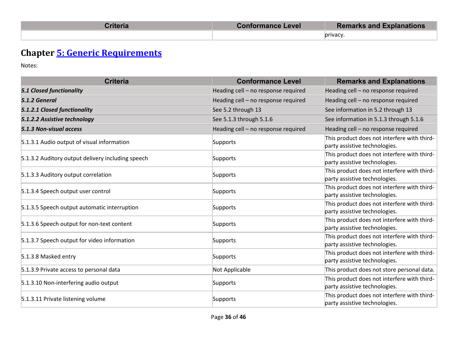| <b>Titeria</b> | Conformance Level | <b>Remarks and Explanations</b> |
|----------------|-------------------|---------------------------------|
|                |                   | privacy                         |

# **Chapter [5: Generic Requirements](https://www.etsi.org/deliver/etsi_en/301500_301599/301549/03.01.01_60/en_301549v030101p.pdf#%5B%7B%22num%22%3A45%2C%22gen%22%3A0%7D%2C%7B%22name%22%3A%22XYZ%22%7D%2C54%2C747%2C0%5D)**

| <b>Criteria</b>                                   | <b>Conformance Level</b>            | <b>Remarks and Explanations</b>                                              |
|---------------------------------------------------|-------------------------------------|------------------------------------------------------------------------------|
| <b>5.1 Closed functionality</b>                   | Heading cell - no response required | Heading cell - no response required                                          |
| 5.1.2 General                                     | Heading cell - no response required | Heading cell - no response required                                          |
| 5.1.2.1 Closed functionality                      | See 5.2 through 13                  | See information in 5.2 through 13                                            |
| 5.1.2.2 Assistive technology                      | See 5.1.3 through 5.1.6             | See information in 5.1.3 through 5.1.6                                       |
| 5.1.3 Non-visual access                           | Heading cell - no response required | Heading cell - no response required                                          |
| 5.1.3.1 Audio output of visual information        | Supports                            | This product does not interfere with third-<br>party assistive technologies. |
| 5.1.3.2 Auditory output delivery including speech | Supports                            | This product does not interfere with third-<br>party assistive technologies. |
| 5.1.3.3 Auditory output correlation               | Supports                            | This product does not interfere with third-<br>party assistive technologies. |
| 5.1.3.4 Speech output user control                | Supports                            | This product does not interfere with third-<br>party assistive technologies. |
| 5.1.3.5 Speech output automatic interruption      | Supports                            | This product does not interfere with third-<br>party assistive technologies. |
| 5.1.3.6 Speech output for non-text content        | Supports                            | This product does not interfere with third-<br>party assistive technologies. |
| 5.1.3.7 Speech output for video information       | Supports                            | This product does not interfere with third-<br>party assistive technologies. |
| 5.1.3.8 Masked entry                              | Supports                            | This product does not interfere with third-<br>party assistive technologies. |
| 5.1.3.9 Private access to personal data           | Not Applicable                      | This product does not store personal data.                                   |
| 5.1.3.10 Non-interfering audio output             | Supports                            | This product does not interfere with third-<br>party assistive technologies. |
| 5.1.3.11 Private listening volume                 | Supports                            | This product does not interfere with third-<br>party assistive technologies. |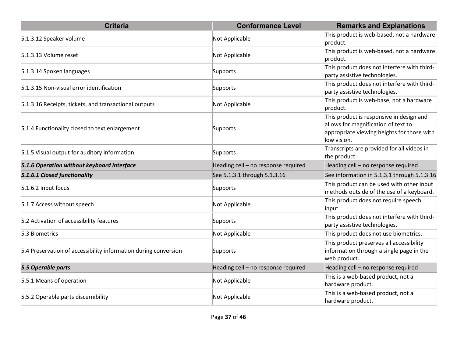| <b>Criteria</b>                                                 | <b>Conformance Level</b>            | <b>Remarks and Explanations</b>                                                                                                              |
|-----------------------------------------------------------------|-------------------------------------|----------------------------------------------------------------------------------------------------------------------------------------------|
| 5.1.3.12 Speaker volume                                         | Not Applicable                      | This product is web-based, not a hardware<br>product.                                                                                        |
| 5.1.3.13 Volume reset                                           | Not Applicable                      | This product is web-based, not a hardware<br>product.                                                                                        |
| 5.1.3.14 Spoken languages                                       | Supports                            | This product does not interfere with third-<br>party assistive technologies.                                                                 |
| 5.1.3.15 Non-visual error identification                        | Supports                            | This product does not interfere with third-<br>party assistive technologies.                                                                 |
| 5.1.3.16 Receipts, tickets, and transactional outputs           | Not Applicable                      | This product is web-base, not a hardware<br>product.                                                                                         |
| 5.1.4 Functionality closed to text enlargement                  | Supports                            | This product is responsive in design and<br>allows for magnification of text to<br>appropriate viewing heights for those with<br>low vision. |
| 5.1.5 Visual output for auditory information                    | Supports                            | Transcripts are provided for all videos in<br>the product.                                                                                   |
| 5.1.6 Operation without keyboard interface                      | Heading cell - no response required | Heading cell - no response required                                                                                                          |
| 5.1.6.1 Closed functionality                                    | See 5.1.3.1 through 5.1.3.16        | See information in 5.1.3.1 through 5.1.3.16                                                                                                  |
| 5.1.6.2 Input focus                                             | Supports                            | This product can be used with other input<br>methods outside of the use of a keyboard.                                                       |
| 5.1.7 Access without speech                                     | Not Applicable                      | This product does not require speech<br>input.                                                                                               |
| 5.2 Activation of accessibility features                        | Supports                            | This product does not interfere with third-<br>party assistive technologies.                                                                 |
| 5.3 Biometrics                                                  | Not Applicable                      | This product does not use biometrics.                                                                                                        |
| 5.4 Preservation of accessibility information during conversion | Supports                            | This product preserves all accessibility<br>information through a single page in the<br>web product.                                         |
| 5.5 Operable parts                                              | Heading cell - no response required | Heading cell - no response required                                                                                                          |
| 5.5.1 Means of operation                                        | Not Applicable                      | This is a web-based product, not a<br>hardware product.                                                                                      |
| 5.5.2 Operable parts discernibility                             | Not Applicable                      | This is a web-based product, not a<br>hardware product.                                                                                      |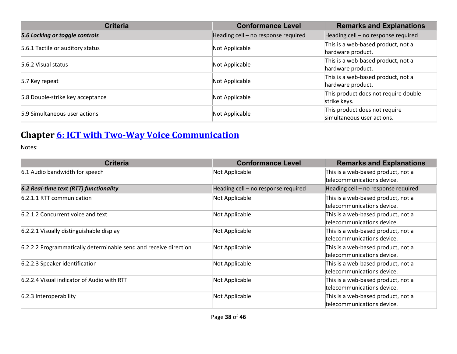| <b>Criteria</b>                  | <b>Conformance Level</b>            | <b>Remarks and Explanations</b>       |
|----------------------------------|-------------------------------------|---------------------------------------|
| 5.6 Locking or toggle controls   | Heading cell - no response required | Heading cell - no response required   |
| 5.6.1 Tactile or auditory status | Not Applicable                      | This is a web-based product, not a    |
|                                  |                                     | hardware product.                     |
| 5.6.2 Visual status              | Not Applicable                      | This is a web-based product, not a    |
|                                  |                                     | hardware product.                     |
| 5.7 Key repeat                   | Not Applicable                      | This is a web-based product, not a    |
|                                  |                                     | hardware product.                     |
| 5.8 Double-strike key acceptance | Not Applicable                      | This product does not require double- |
|                                  |                                     | strike keys.                          |
| 5.9 Simultaneous user actions    |                                     | This product does not require         |
|                                  | Not Applicable                      | simultaneous user actions.            |

# **Chapter [6: ICT with Two-Way Voice Communication](https://www.etsi.org/deliver/etsi_en/301500_301599/301549/03.01.01_60/en_301549v030101p.pdf#%5B%7B%22num%22%3A60%2C%22gen%22%3A0%7D%2C%7B%22name%22%3A%22XYZ%22%7D%2C54%2C747%2C0%5D)**

| <b>Criteria</b>                                                  | <b>Conformance Level</b>            | <b>Remarks and Explanations</b>                                  |
|------------------------------------------------------------------|-------------------------------------|------------------------------------------------------------------|
| 6.1 Audio bandwidth for speech                                   | Not Applicable                      | This is a web-based product, not a<br>telecommunications device. |
| 6.2 Real-time text (RTT) functionality                           | Heading cell - no response required | Heading cell – no response required                              |
| 6.2.1.1 RTT communication                                        | Not Applicable                      | This is a web-based product, not a<br>telecommunications device. |
| 6.2.1.2 Concurrent voice and text                                | Not Applicable                      | This is a web-based product, not a<br>telecommunications device. |
| 6.2.2.1 Visually distinguishable display                         | Not Applicable                      | This is a web-based product, not a<br>telecommunications device. |
| 6.2.2.2 Programmatically determinable send and receive direction | Not Applicable                      | This is a web-based product, not a<br>telecommunications device. |
| 6.2.2.3 Speaker identification                                   | Not Applicable                      | This is a web-based product, not a<br>telecommunications device. |
| 6.2.2.4 Visual indicator of Audio with RTT                       | Not Applicable                      | This is a web-based product, not a<br>telecommunications device. |
| 6.2.3 Interoperability                                           | Not Applicable                      | This is a web-based product, not a<br>telecommunications device. |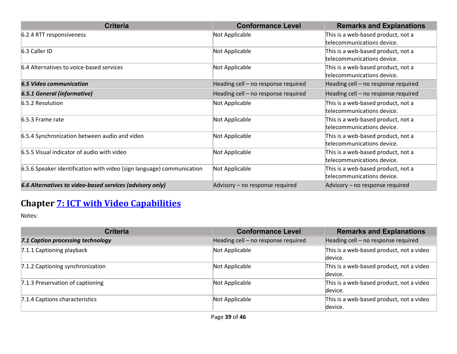| <b>Criteria</b>                                                       | <b>Conformance Level</b>            | <b>Remarks and Explanations</b>     |
|-----------------------------------------------------------------------|-------------------------------------|-------------------------------------|
| 6.2.4 RTT responsiveness                                              | Not Applicable                      | This is a web-based product, not a  |
|                                                                       |                                     | telecommunications device.          |
| 6.3 Caller ID                                                         | Not Applicable                      | This is a web-based product, not a  |
|                                                                       |                                     | telecommunications device.          |
| 6.4 Alternatives to voice-based services                              | Not Applicable                      | This is a web-based product, not a  |
|                                                                       |                                     | telecommunications device.          |
| <b>6.5 Video communication</b>                                        | Heading cell - no response required | Heading cell - no response required |
| <b>6.5.1 General (informative)</b>                                    | Heading cell - no response required | Heading cell - no response required |
| 6.5.2 Resolution                                                      | Not Applicable                      | This is a web-based product, not a  |
|                                                                       |                                     | telecommunications device.          |
| 6.5.3 Frame rate                                                      | Not Applicable                      | This is a web-based product, not a  |
|                                                                       |                                     | telecommunications device.          |
| 6.5.4 Synchronization between audio and video                         | Not Applicable                      | This is a web-based product, not a  |
|                                                                       |                                     | telecommunications device.          |
| 6.5.5 Visual indicator of audio with video                            | Not Applicable                      | This is a web-based product, not a  |
|                                                                       |                                     | telecommunications device.          |
| 6.5.6 Speaker identification with video (sign language) communication | Not Applicable                      | This is a web-based product, not a  |
|                                                                       |                                     | telecommunications device.          |
| 6.6 Alternatives to video-based services (advisory only)              | Advisory – no response required     | Advisory - no response required     |

# **Chapter [7: ICT with Video Capabilities](https://www.etsi.org/deliver/etsi_en/301500_301599/301549/03.01.01_60/en_301549v030101p.pdf#%5B%7B%22num%22%3A70%2C%22gen%22%3A0%7D%2C%7B%22name%22%3A%22XYZ%22%7D%2C54%2C747%2C0%5D)**

| <b>Criteria</b>                   | <b>Conformance Level</b>            | <b>Remarks and Explanations</b>                     |
|-----------------------------------|-------------------------------------|-----------------------------------------------------|
| 7.1 Caption processing technology | Heading cell - no response required | Heading cell - no response required                 |
| 7.1.1 Captioning playback         | Not Applicable                      | This is a web-based product, not a video<br>device. |
| 7.1.2 Captioning synchronization  | Not Applicable                      | This is a web-based product, not a video<br>device. |
| 7.1.3 Preservation of captioning  | Not Applicable                      | This is a web-based product, not a video<br>device. |
| 7.1.4 Captions characteristics    | Not Applicable                      | This is a web-based product, not a video<br>device. |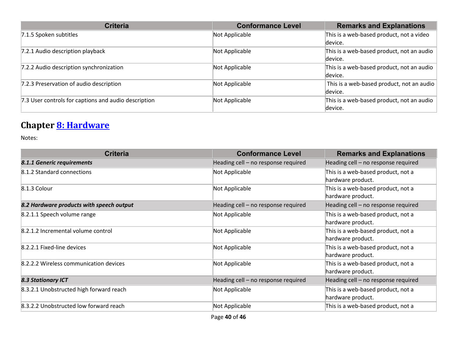| <b>Criteria</b>                                      | <b>Conformance Level</b> | <b>Remarks and Explanations</b>           |
|------------------------------------------------------|--------------------------|-------------------------------------------|
| 7.1.5 Spoken subtitles                               | Not Applicable           | This is a web-based product, not a video  |
|                                                      |                          | device.                                   |
| 7.2.1 Audio description playback                     | Not Applicable           | This is a web-based product, not an audio |
|                                                      |                          | device.                                   |
| 7.2.2 Audio description synchronization              | Not Applicable           | This is a web-based product, not an audio |
|                                                      |                          | device.                                   |
| 7.2.3 Preservation of audio description              | Not Applicable           | This is a web-based product, not an audio |
|                                                      |                          | device.                                   |
| 7.3 User controls for captions and audio description | Not Applicable           | This is a web-based product, not an audio |
|                                                      |                          | device.                                   |

#### **Chapter [8: Hardware](https://www.etsi.org/deliver/etsi_en/301500_301599/301549/03.01.01_60/en_301549v030101p.pdf#%5B%7B%22num%22%3A74%2C%22gen%22%3A0%7D%2C%7B%22name%22%3A%22XYZ%22%7D%2C54%2C747%2C0%5D)**

| <b>Criteria</b>                          | <b>Conformance Level</b>            | <b>Remarks and Explanations</b>                         |
|------------------------------------------|-------------------------------------|---------------------------------------------------------|
| 8.1.1 Generic requirements               | Heading cell - no response required | Heading cell - no response required                     |
| 8.1.2 Standard connections               | Not Applicable                      | This is a web-based product, not a<br>hardware product. |
| 8.1.3 Colour                             | Not Applicable                      | This is a web-based product, not a<br>hardware product. |
| 8.2 Hardware products with speech output | Heading cell - no response required | Heading cell - no response required                     |
| 8.2.1.1 Speech volume range              | Not Applicable                      | This is a web-based product, not a<br>hardware product. |
| 8.2.1.2 Incremental volume control       | Not Applicable                      | This is a web-based product, not a<br>hardware product. |
| 8.2.2.1 Fixed-line devices               | Not Applicable                      | This is a web-based product, not a<br>hardware product. |
| 8.2.2.2 Wireless communication devices   | Not Applicable                      | This is a web-based product, not a<br>hardware product. |
| <b>8.3 Stationary ICT</b>                | Heading cell - no response required | Heading cell - no response required                     |
| 8.3.2.1 Unobstructed high forward reach  | Not Applicable                      | This is a web-based product, not a<br>hardware product. |
| 8.3.2.2 Unobstructed low forward reach   | Not Applicable                      | This is a web-based product, not a                      |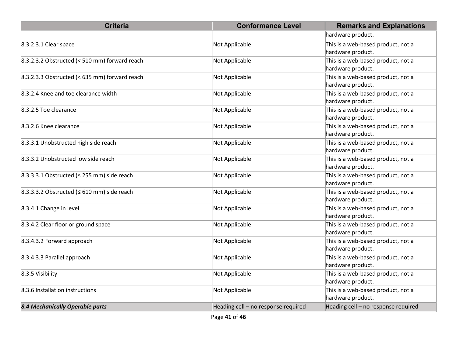| <b>Criteria</b>                                  | <b>Conformance Level</b>            | <b>Remarks and Explanations</b>                         |
|--------------------------------------------------|-------------------------------------|---------------------------------------------------------|
|                                                  |                                     | hardware product.                                       |
| 8.3.2.3.1 Clear space                            | Not Applicable                      | This is a web-based product, not a<br>hardware product. |
| 8.3.2.3.2 Obstructed (< 510 mm) forward reach    | Not Applicable                      | This is a web-based product, not a<br>hardware product. |
| 8.3.2.3.3 Obstructed (< $635$ mm) forward reach  | Not Applicable                      | This is a web-based product, not a<br>hardware product. |
| 8.3.2.4 Knee and toe clearance width             | Not Applicable                      | This is a web-based product, not a<br>hardware product. |
| 8.3.2.5 Toe clearance                            | Not Applicable                      | This is a web-based product, not a<br>hardware product. |
| 8.3.2.6 Knee clearance                           | Not Applicable                      | This is a web-based product, not a<br>hardware product. |
| 8.3.3.1 Unobstructed high side reach             | Not Applicable                      | This is a web-based product, not a<br>hardware product. |
| 8.3.3.2 Unobstructed low side reach              | Not Applicable                      | This is a web-based product, not a<br>hardware product. |
| 8.3.3.3.1 Obstructed ( $\leq$ 255 mm) side reach | Not Applicable                      | This is a web-based product, not a<br>hardware product. |
| 8.3.3.3.2 Obstructed ( $\leq 610$ mm) side reach | Not Applicable                      | This is a web-based product, not a<br>hardware product. |
| 8.3.4.1 Change in level                          | Not Applicable                      | This is a web-based product, not a<br>hardware product. |
| 8.3.4.2 Clear floor or ground space              | Not Applicable                      | This is a web-based product, not a<br>hardware product. |
| 8.3.4.3.2 Forward approach                       | Not Applicable                      | This is a web-based product, not a<br>hardware product. |
| 8.3.4.3.3 Parallel approach                      | Not Applicable                      | This is a web-based product, not a<br>hardware product. |
| 8.3.5 Visibility                                 | Not Applicable                      | This is a web-based product, not a<br>hardware product. |
| 8.3.6 Installation instructions                  | Not Applicable                      | This is a web-based product, not a<br>hardware product. |
| 8.4 Mechanically Operable parts                  | Heading cell - no response required | Heading cell - no response required                     |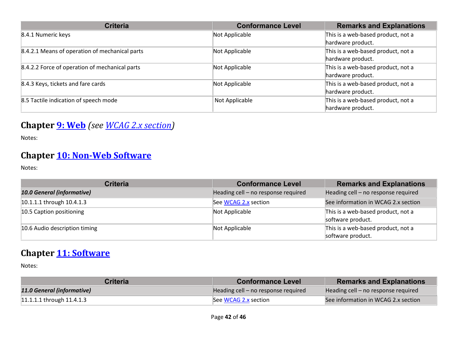| <b>Criteria</b>                                | <b>Conformance Level</b> | <b>Remarks and Explanations</b>    |
|------------------------------------------------|--------------------------|------------------------------------|
| 8.4.1 Numeric keys                             | Not Applicable           | This is a web-based product, not a |
|                                                |                          | hardware product.                  |
| 8.4.2.1 Means of operation of mechanical parts | Not Applicable           | This is a web-based product, not a |
|                                                |                          | hardware product.                  |
| 8.4.2.2 Force of operation of mechanical parts | Not Applicable           | This is a web-based product, not a |
|                                                |                          | hardware product.                  |
| 8.4.3 Keys, tickets and fare cards             | Not Applicable           | This is a web-based product, not a |
|                                                |                          | hardware product.                  |
| 8.5 Tactile indication of speech mode          | Not Applicable           | This is a web-based product, not a |
|                                                |                          | hardware product.                  |

#### **Chapter [9: Web](https://www.etsi.org/deliver/etsi_en/301500_301599/301549/03.01.01_60/en_301549v030101p.pdf#%5B%7B%22num%22%3A113%2C%22gen%22%3A0%7D%2C%7B%22name%22%3A%22XYZ%22%7D%2C54%2C747%2C0%5D)** *(see [WCAG 2.x](#page-1-0) section)*

Notes:

#### **Chapter [10: Non-Web Software](https://www.etsi.org/deliver/etsi_en/301500_301599/301549/03.01.01_60/en_301549v030101p.pdf#%5B%7B%22num%22%3A127%2C%22gen%22%3A0%7D%2C%7B%22name%22%3A%22XYZ%22%7D%2C54%2C747%2C0%5D)**

Notes:

| <b>Criteria</b>               | <b>Conformance Level</b>            | <b>Remarks and Explanations</b>                         |
|-------------------------------|-------------------------------------|---------------------------------------------------------|
| 10.0 General (informative)    | Heading cell - no response required | Heading cell - no response required                     |
| 10.1.1.1 through 10.4.1.3     | See WCAG 2.x section                | See information in WCAG 2.x section                     |
| 10.5 Caption positioning      | Not Applicable                      | This is a web-based product, not a<br>software product. |
| 10.6 Audio description timing | Not Applicable                      | This is a web-based product, not a<br>software product. |

#### **Chapter [11: Software](https://www.etsi.org/deliver/etsi_en/301500_301599/301549/03.01.01_60/en_301549v030101p.pdf#%5B%7B%22num%22%3A149%2C%22gen%22%3A0%7D%2C%7B%22name%22%3A%22XYZ%22%7D%2C54%2C747%2C0%5D)**

| <b>Criteria</b>             | <b>Conformance Level</b>            | <b>Remarks and Explanations</b>     |
|-----------------------------|-------------------------------------|-------------------------------------|
| 11.0 General (informative)  | Heading cell – no response required | Heading cell – no response required |
| $11.1.1.1$ through 11.4.1.3 | See WCAG 2.x section                | See information in WCAG 2.x section |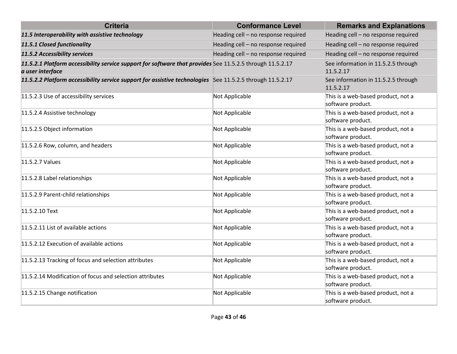| <b>Criteria</b>                                                                                                               | <b>Conformance Level</b>            | <b>Remarks and Explanations</b>                         |
|-------------------------------------------------------------------------------------------------------------------------------|-------------------------------------|---------------------------------------------------------|
| 11.5 Interoperability with assistive technology                                                                               | Heading cell - no response required | Heading cell - no response required                     |
| 11.5.1 Closed functionality                                                                                                   | Heading cell - no response required | Heading cell - no response required                     |
| 11.5.2 Accessibility services                                                                                                 | Heading cell - no response required | Heading cell - no response required                     |
| 11.5.2.1 Platform accessibility service support for software that provides See 11.5.2.5 through 11.5.2.17<br>a user interface |                                     | See information in 11.5.2.5 through<br>11.5.2.17        |
| 11.5.2.2 Platform accessibility service support for assistive technologies See 11.5.2.5 through 11.5.2.17                     |                                     | See information in 11.5.2.5 through<br>11.5.2.17        |
| 11.5.2.3 Use of accessibility services                                                                                        | Not Applicable                      | This is a web-based product, not a<br>software product. |
| 11.5.2.4 Assistive technology                                                                                                 | Not Applicable                      | This is a web-based product, not a<br>software product. |
| 11.5.2.5 Object information                                                                                                   | Not Applicable                      | This is a web-based product, not a<br>software product. |
| 11.5.2.6 Row, column, and headers                                                                                             | Not Applicable                      | This is a web-based product, not a<br>software product. |
| 11.5.2.7 Values                                                                                                               | Not Applicable                      | This is a web-based product, not a<br>software product. |
| 11.5.2.8 Label relationships                                                                                                  | Not Applicable                      | This is a web-based product, not a<br>software product. |
| 11.5.2.9 Parent-child relationships                                                                                           | Not Applicable                      | This is a web-based product, not a<br>software product. |
| 11.5.2.10 Text                                                                                                                | Not Applicable                      | This is a web-based product, not a<br>software product. |
| 11.5.2.11 List of available actions                                                                                           | Not Applicable                      | This is a web-based product, not a<br>software product. |
| 11.5.2.12 Execution of available actions                                                                                      | Not Applicable                      | This is a web-based product, not a<br>software product. |
| 11.5.2.13 Tracking of focus and selection attributes                                                                          | Not Applicable                      | This is a web-based product, not a<br>software product. |
| 11.5.2.14 Modification of focus and selection attributes                                                                      | Not Applicable                      | This is a web-based product, not a<br>software product. |
| 11.5.2.15 Change notification                                                                                                 | Not Applicable                      | This is a web-based product, not a<br>software product. |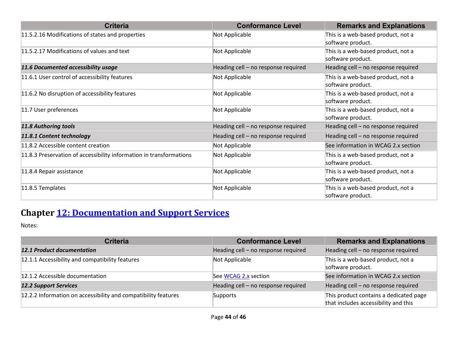| <b>Criteria</b>                                                     | <b>Conformance Level</b>            | <b>Remarks and Explanations</b>                         |
|---------------------------------------------------------------------|-------------------------------------|---------------------------------------------------------|
| 11.5.2.16 Modifications of states and properties                    | Not Applicable                      | This is a web-based product, not a<br>software product. |
| 11.5.2.17 Modifications of values and text                          | Not Applicable                      | This is a web-based product, not a<br>software product. |
| 11.6 Documented accessibility usage                                 | Heading cell - no response required | Heading cell - no response required                     |
| 11.6.1 User control of accessibility features                       | Not Applicable                      | This is a web-based product, not a<br>software product. |
| 11.6.2 No disruption of accessibility features                      | Not Applicable                      | This is a web-based product, not a<br>software product. |
| 11.7 User preferences                                               | Not Applicable                      | This is a web-based product, not a<br>software product. |
| 11.8 Authoring tools                                                | Heading cell - no response required | Heading cell - no response required                     |
| 11.8.1 Content technology                                           | Heading cell - no response required | Heading cell - no response required                     |
| 11.8.2 Accessible content creation                                  | Not Applicable                      | See information in WCAG 2.x section                     |
| 11.8.3 Preservation of accessibility information in transformations | Not Applicable                      | This is a web-based product, not a<br>software product. |
| 11.8.4 Repair assistance                                            | Not Applicable                      | This is a web-based product, not a<br>software product. |
| 11.8.5 Templates                                                    | Not Applicable                      | This is a web-based product, not a<br>software product. |

## **Chapter [12: Documentation and Support Services](https://www.etsi.org/deliver/etsi_en/301500_301599/301549/03.01.01_60/en_301549v030101p.pdf#%5B%7B%22num%22%3A187%2C%22gen%22%3A0%7D%2C%7B%22name%22%3A%22XYZ%22%7D%2C54%2C747%2C0%5D)**

| <b>Criteria</b>                                                | <b>Conformance Level</b>            | <b>Remarks and Explanations</b>                                                |
|----------------------------------------------------------------|-------------------------------------|--------------------------------------------------------------------------------|
| <b>12.1 Product documentation</b>                              | Heading cell - no response required | Heading cell - no response required                                            |
| 12.1.1 Accessibility and compatibility features                | Not Applicable                      | This is a web-based product, not a<br>software product.                        |
| 12.1.2 Accessible documentation                                | See WCAG 2.x section                | See information in WCAG 2.x section                                            |
| <b>12.2 Support Services</b>                                   | Heading cell - no response required | Heading cell - no response required                                            |
| 12.2.2 Information on accessibility and compatibility features | Supports                            | This product contains a dedicated page<br>that includes accessibility and this |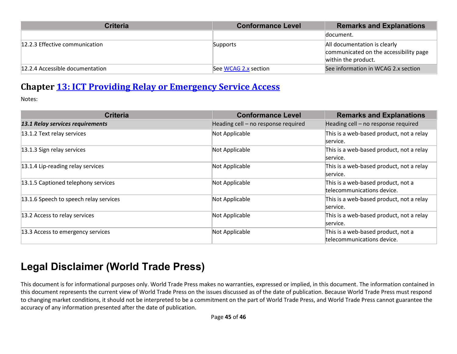| <b>Criteria</b>                 | <b>Conformance Level</b> | <b>Remarks and Explanations</b>                                                               |
|---------------------------------|--------------------------|-----------------------------------------------------------------------------------------------|
|                                 |                          | document.                                                                                     |
| 12.2.3 Effective communication  | Supports                 | All documentation is clearly<br>communicated on the accessibility page<br>within the product. |
| 12.2.4 Accessible documentation | See WCAG 2.x section     | See information in WCAG 2.x section                                                           |

#### **Chapter [13: ICT Providing Relay or Emergency Service Access](https://www.etsi.org/deliver/etsi_en/301500_301599/301549/03.01.01_60/en_301549v030101p.pdf#%5B%7B%22num%22%3A191%2C%22gen%22%3A0%7D%2C%7B%22name%22%3A%22XYZ%22%7D%2C54%2C747%2C0%5D)**

Notes:

| <b>Criteria</b>                        | <b>Conformance Level</b>            | <b>Remarks and Explanations</b>                                  |
|----------------------------------------|-------------------------------------|------------------------------------------------------------------|
| 13.1 Relay services requirements       | Heading cell - no response required | Heading cell - no response required                              |
| 13.1.2 Text relay services             | Not Applicable                      | This is a web-based product, not a relay<br>service.             |
| 13.1.3 Sign relay services             | Not Applicable                      | This is a web-based product, not a relay<br>service.             |
| 13.1.4 Lip-reading relay services      | Not Applicable                      | This is a web-based product, not a relay<br>service.             |
| 13.1.5 Captioned telephony services    | Not Applicable                      | This is a web-based product, not a<br>telecommunications device. |
| 13.1.6 Speech to speech relay services | Not Applicable                      | This is a web-based product, not a relay<br>service.             |
| 13.2 Access to relay services          | Not Applicable                      | This is a web-based product, not a relay<br>service.             |
| 13.3 Access to emergency services      | Not Applicable                      | This is a web-based product, not a<br>telecommunications device. |

# **Legal Disclaimer (World Trade Press)**

This document is for informational purposes only. World Trade Press makes no warranties, expressed or implied, in this document. The information contained in this document represents the current view of World Trade Press on the issues discussed as of the date of publication. Because World Trade Press must respond to changing market conditions, it should not be interpreted to be a commitment on the part of World Trade Press, and World Trade Press cannot guarantee the accuracy of any information presented after the date of publication.